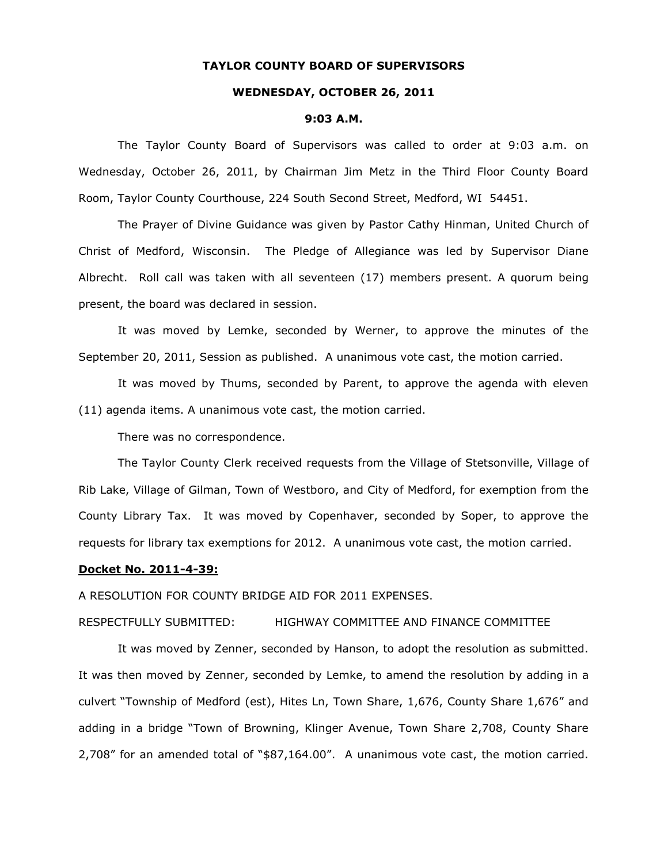### **TAYLOR COUNTY BOARD OF SUPERVISORS**

### **WEDNESDAY, OCTOBER 26, 2011**

#### **9:03 A.M.**

The Taylor County Board of Supervisors was called to order at 9:03 a.m. on Wednesday, October 26, 2011, by Chairman Jim Metz in the Third Floor County Board Room, Taylor County Courthouse, 224 South Second Street, Medford, WI 54451.

The Prayer of Divine Guidance was given by Pastor Cathy Hinman, United Church of Christ of Medford, Wisconsin. The Pledge of Allegiance was led by Supervisor Diane Albrecht. Roll call was taken with all seventeen (17) members present. A quorum being present, the board was declared in session.

It was moved by Lemke, seconded by Werner, to approve the minutes of the September 20, 2011, Session as published. A unanimous vote cast, the motion carried.

It was moved by Thums, seconded by Parent, to approve the agenda with eleven (11) agenda items. A unanimous vote cast, the motion carried.

There was no correspondence.

The Taylor County Clerk received requests from the Village of Stetsonville, Village of Rib Lake, Village of Gilman, Town of Westboro, and City of Medford, for exemption from the County Library Tax. It was moved by Copenhaver, seconded by Soper, to approve the requests for library tax exemptions for 2012. A unanimous vote cast, the motion carried.

### **Docket No. 2011-4-39:**

A RESOLUTION FOR COUNTY BRIDGE AID FOR 2011 EXPENSES.

### RESPECTFULLY SUBMITTED: HIGHWAY COMMITTEE AND FINANCE COMMITTEE

It was moved by Zenner, seconded by Hanson, to adopt the resolution as submitted. It was then moved by Zenner, seconded by Lemke, to amend the resolution by adding in a culvert "Township of Medford (est), Hites Ln, Town Share, 1,676, County Share 1,676" and adding in a bridge "Town of Browning, Klinger Avenue, Town Share 2,708, County Share 2,708" for an amended total of "\$87,164.00". A unanimous vote cast, the motion carried.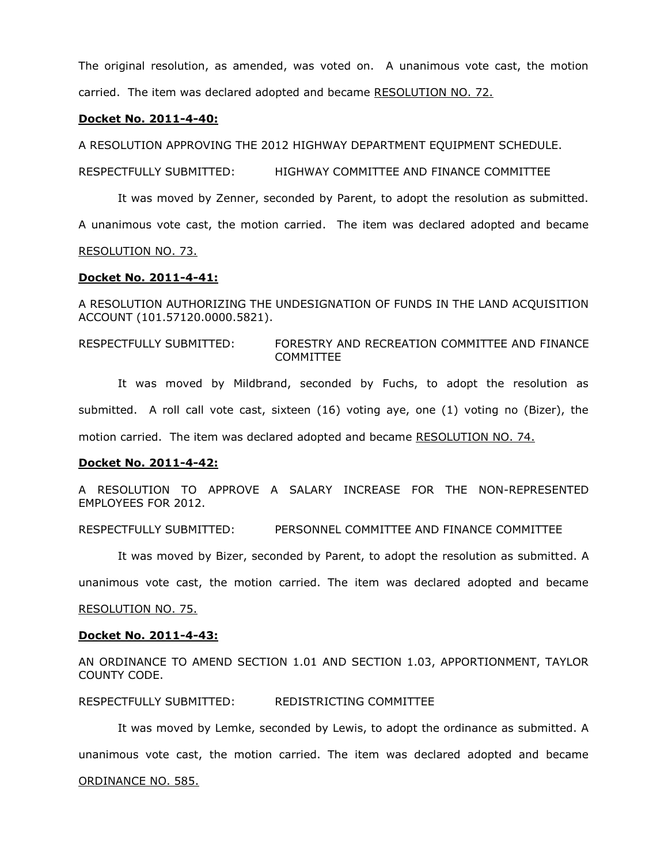The original resolution, as amended, was voted on. A unanimous vote cast, the motion carried. The item was declared adopted and became RESOLUTION NO. 72.

#### **Docket No. 2011-4-40:**

A RESOLUTION APPROVING THE 2012 HIGHWAY DEPARTMENT EQUIPMENT SCHEDULE.

RESPECTFULLY SUBMITTED: HIGHWAY COMMITTEE AND FINANCE COMMITTEE

It was moved by Zenner, seconded by Parent, to adopt the resolution as submitted.

A unanimous vote cast, the motion carried. The item was declared adopted and became

RESOLUTION NO. 73.

#### **Docket No. 2011-4-41:**

A RESOLUTION AUTHORIZING THE UNDESIGNATION OF FUNDS IN THE LAND ACQUISITION ACCOUNT (101.57120.0000.5821).

RESPECTFULLY SUBMITTED: FORESTRY AND RECREATION COMMITTEE AND FINANCE COMMITTEE

It was moved by Mildbrand, seconded by Fuchs, to adopt the resolution as submitted. A roll call vote cast, sixteen (16) voting aye, one (1) voting no (Bizer), the motion carried. The item was declared adopted and became RESOLUTION NO. 74.

#### **Docket No. 2011-4-42:**

A RESOLUTION TO APPROVE A SALARY INCREASE FOR THE NON-REPRESENTED EMPLOYEES FOR 2012.

RESPECTFULLY SUBMITTED: PERSONNEL COMMITTEE AND FINANCE COMMITTEE

It was moved by Bizer, seconded by Parent, to adopt the resolution as submitted. A

unanimous vote cast, the motion carried. The item was declared adopted and became

RESOLUTION NO. 75.

### **Docket No. 2011-4-43:**

AN ORDINANCE TO AMEND SECTION 1.01 AND SECTION 1.03, APPORTIONMENT, TAYLOR COUNTY CODE.

RESPECTFULLY SUBMITTED: REDISTRICTING COMMITTEE

It was moved by Lemke, seconded by Lewis, to adopt the ordinance as submitted. A unanimous vote cast, the motion carried. The item was declared adopted and became

#### ORDINANCE NO. 585.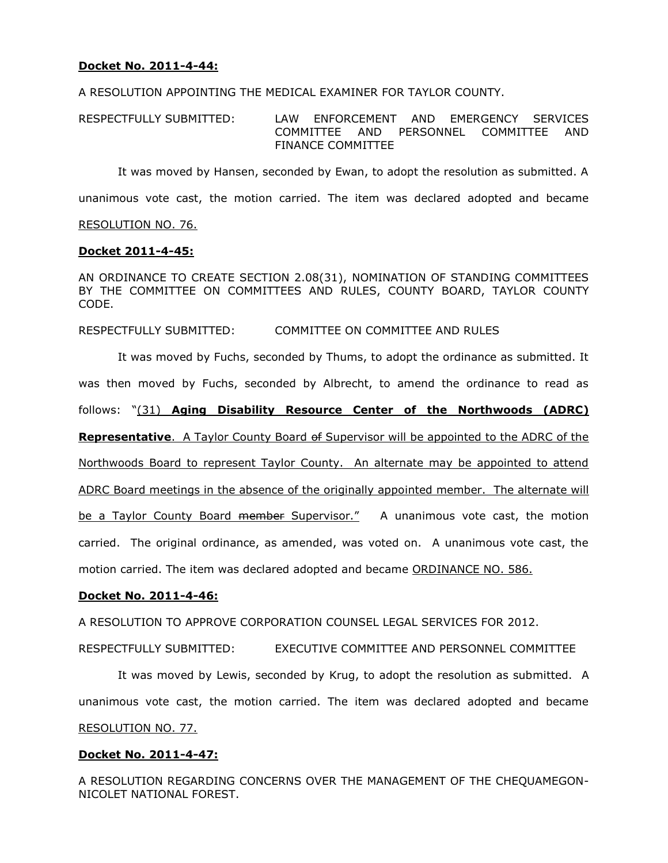# **Docket No. 2011-4-44:**

A RESOLUTION APPOINTING THE MEDICAL EXAMINER FOR TAYLOR COUNTY.

RESPECTFULLY SUBMITTED: LAW ENFORCEMENT AND EMERGENCY SERVICES COMMITTEE AND PERSONNEL COMMITTEE AND FINANCE COMMITTEE

It was moved by Hansen, seconded by Ewan, to adopt the resolution as submitted. A

unanimous vote cast, the motion carried. The item was declared adopted and became

#### RESOLUTION NO. 76.

### **Docket 2011-4-45:**

AN ORDINANCE TO CREATE SECTION 2.08(31), NOMINATION OF STANDING COMMITTEES BY THE COMMITTEE ON COMMITTEES AND RULES, COUNTY BOARD, TAYLOR COUNTY CODE.

### RESPECTFULLY SUBMITTED: COMMITTEE ON COMMITTEE AND RULES

It was moved by Fuchs, seconded by Thums, to adopt the ordinance as submitted. It was then moved by Fuchs, seconded by Albrecht, to amend the ordinance to read as follows: "(31) **Aging Disability Resource Center of the Northwoods (ADRC) Representative**. A Taylor County Board of Supervisor will be appointed to the ADRC of the Northwoods Board to represent Taylor County. An alternate may be appointed to attend ADRC Board meetings in the absence of the originally appointed member. The alternate will be a Taylor County Board member Supervisor." A unanimous vote cast, the motion carried. The original ordinance, as amended, was voted on. A unanimous vote cast, the motion carried. The item was declared adopted and became ORDINANCE NO. 586.

### **Docket No. 2011-4-46:**

A RESOLUTION TO APPROVE CORPORATION COUNSEL LEGAL SERVICES FOR 2012.

RESPECTFULLY SUBMITTED: EXECUTIVE COMMITTEE AND PERSONNEL COMMITTEE

It was moved by Lewis, seconded by Krug, to adopt the resolution as submitted. A unanimous vote cast, the motion carried. The item was declared adopted and became RESOLUTION NO. 77.

# **Docket No. 2011-4-47:**

A RESOLUTION REGARDING CONCERNS OVER THE MANAGEMENT OF THE CHEQUAMEGON-NICOLET NATIONAL FOREST.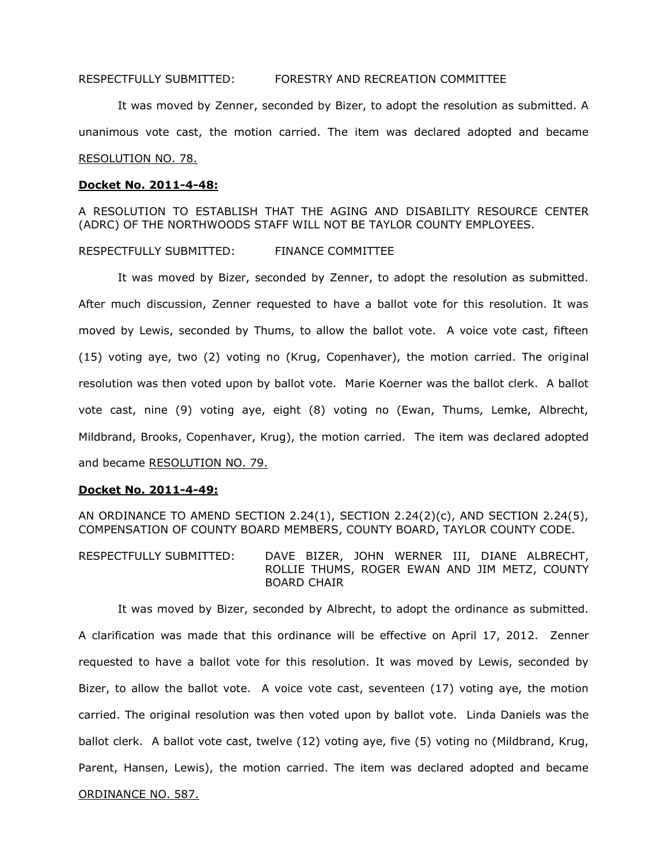### RESPECTFULLY SUBMITTED: FORESTRY AND RECREATION COMMITTEE

It was moved by Zenner, seconded by Bizer, to adopt the resolution as submitted. A unanimous vote cast, the motion carried. The item was declared adopted and became RESOLUTION NO. 78.

#### **Docket No. 2011-4-48:**

A RESOLUTION TO ESTABLISH THAT THE AGING AND DISABILITY RESOURCE CENTER (ADRC) OF THE NORTHWOODS STAFF WILL NOT BE TAYLOR COUNTY EMPLOYEES.

### RESPECTFULLY SUBMITTED: FINANCE COMMITTEE

It was moved by Bizer, seconded by Zenner, to adopt the resolution as submitted. After much discussion, Zenner requested to have a ballot vote for this resolution. It was moved by Lewis, seconded by Thums, to allow the ballot vote. A voice vote cast, fifteen (15) voting aye, two (2) voting no (Krug, Copenhaver), the motion carried. The original resolution was then voted upon by ballot vote. Marie Koerner was the ballot clerk. A ballot vote cast, nine (9) voting aye, eight (8) voting no (Ewan, Thums, Lemke, Albrecht, Mildbrand, Brooks, Copenhaver, Krug), the motion carried. The item was declared adopted and became RESOLUTION NO. 79.

#### **Docket No. 2011-4-49:**

AN ORDINANCE TO AMEND SECTION 2.24(1), SECTION 2.24(2)(c), AND SECTION 2.24(5), COMPENSATION OF COUNTY BOARD MEMBERS, COUNTY BOARD, TAYLOR COUNTY CODE.

RESPECTFULLY SUBMITTED: DAVE BIZER, JOHN WERNER III, DIANE ALBRECHT, ROLLIE THUMS, ROGER EWAN AND JIM METZ, COUNTY BOARD CHAIR

It was moved by Bizer, seconded by Albrecht, to adopt the ordinance as submitted. A clarification was made that this ordinance will be effective on April 17, 2012. Zenner requested to have a ballot vote for this resolution. It was moved by Lewis, seconded by Bizer, to allow the ballot vote. A voice vote cast, seventeen (17) voting aye, the motion carried. The original resolution was then voted upon by ballot vote. Linda Daniels was the ballot clerk. A ballot vote cast, twelve (12) voting aye, five (5) voting no (Mildbrand, Krug, Parent, Hansen, Lewis), the motion carried. The item was declared adopted and became ORDINANCE NO. 587.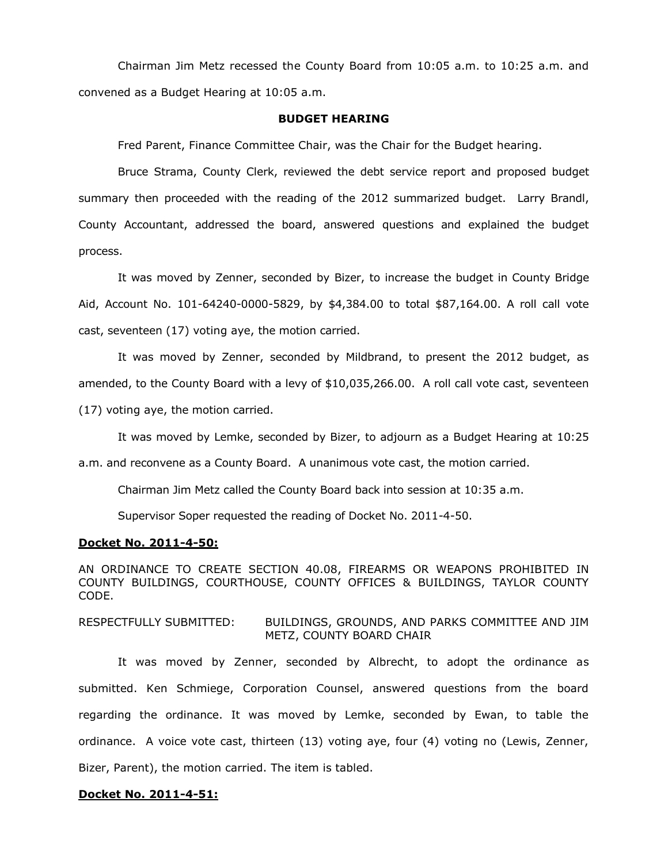Chairman Jim Metz recessed the County Board from 10:05 a.m. to 10:25 a.m. and convened as a Budget Hearing at 10:05 a.m.

#### **BUDGET HEARING**

Fred Parent, Finance Committee Chair, was the Chair for the Budget hearing.

Bruce Strama, County Clerk, reviewed the debt service report and proposed budget summary then proceeded with the reading of the 2012 summarized budget. Larry Brandl, County Accountant, addressed the board, answered questions and explained the budget process.

It was moved by Zenner, seconded by Bizer, to increase the budget in County Bridge Aid, Account No. 101-64240-0000-5829, by \$4,384.00 to total \$87,164.00. A roll call vote cast, seventeen (17) voting aye, the motion carried.

It was moved by Zenner, seconded by Mildbrand, to present the 2012 budget, as amended, to the County Board with a levy of \$10,035,266.00. A roll call vote cast, seventeen

(17) voting aye, the motion carried.

It was moved by Lemke, seconded by Bizer, to adjourn as a Budget Hearing at 10:25

a.m. and reconvene as a County Board. A unanimous vote cast, the motion carried.

Chairman Jim Metz called the County Board back into session at 10:35 a.m.

Supervisor Soper requested the reading of Docket No. 2011-4-50.

### **Docket No. 2011-4-50:**

AN ORDINANCE TO CREATE SECTION 40.08, FIREARMS OR WEAPONS PROHIBITED IN COUNTY BUILDINGS, COURTHOUSE, COUNTY OFFICES & BUILDINGS, TAYLOR COUNTY CODE.

## RESPECTFULLY SUBMITTED: BUILDINGS, GROUNDS, AND PARKS COMMITTEE AND JIM METZ, COUNTY BOARD CHAIR

It was moved by Zenner, seconded by Albrecht, to adopt the ordinance as submitted. Ken Schmiege, Corporation Counsel, answered questions from the board regarding the ordinance. It was moved by Lemke, seconded by Ewan, to table the ordinance. A voice vote cast, thirteen (13) voting aye, four (4) voting no (Lewis, Zenner, Bizer, Parent), the motion carried. The item is tabled.

### **Docket No. 2011-4-51:**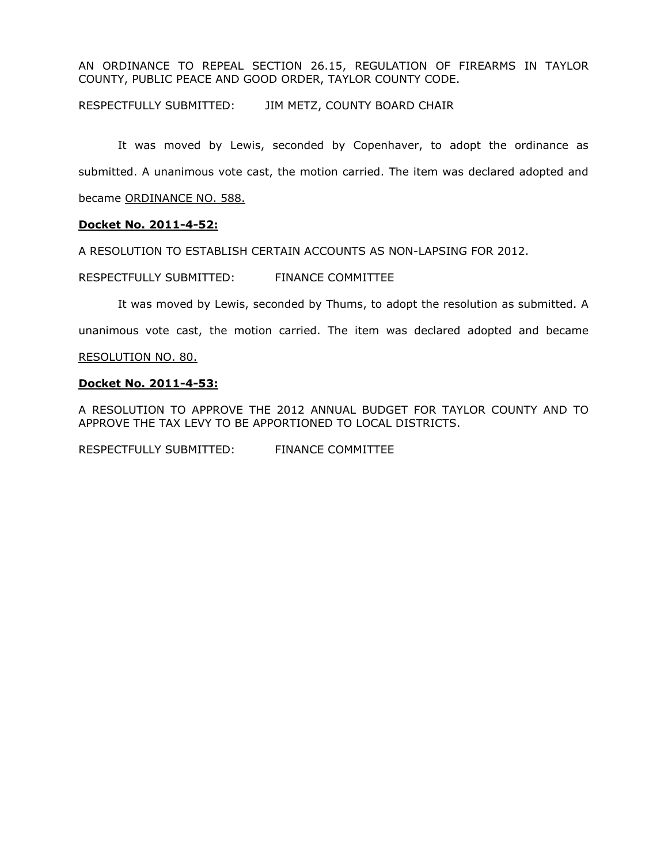AN ORDINANCE TO REPEAL SECTION 26.15, REGULATION OF FIREARMS IN TAYLOR COUNTY, PUBLIC PEACE AND GOOD ORDER, TAYLOR COUNTY CODE.

RESPECTFULLY SUBMITTED: JIM METZ, COUNTY BOARD CHAIR

It was moved by Lewis, seconded by Copenhaver, to adopt the ordinance as submitted. A unanimous vote cast, the motion carried. The item was declared adopted and became ORDINANCE NO. 588.

## **Docket No. 2011-4-52:**

A RESOLUTION TO ESTABLISH CERTAIN ACCOUNTS AS NON-LAPSING FOR 2012.

RESPECTFULLY SUBMITTED: FINANCE COMMITTEE

It was moved by Lewis, seconded by Thums, to adopt the resolution as submitted. A

unanimous vote cast, the motion carried. The item was declared adopted and became

### RESOLUTION NO. 80.

## **Docket No. 2011-4-53:**

A RESOLUTION TO APPROVE THE 2012 ANNUAL BUDGET FOR TAYLOR COUNTY AND TO APPROVE THE TAX LEVY TO BE APPORTIONED TO LOCAL DISTRICTS.

RESPECTFULLY SUBMITTED: FINANCE COMMITTEE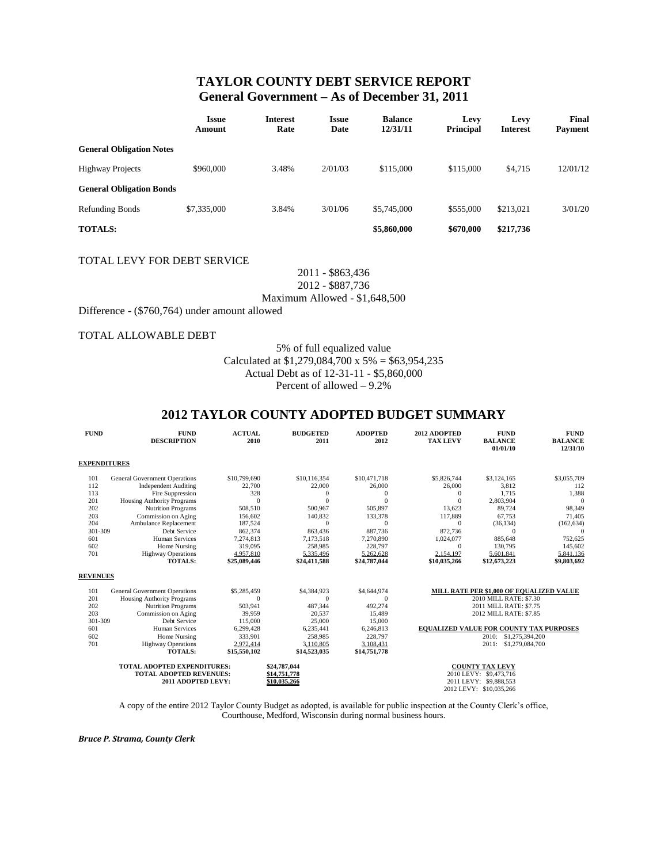# **TAYLOR COUNTY DEBT SERVICE REPORT General Government – As of December 31, 2011**

|                                 | <b>Issue</b><br>Amount | Interest<br>Rate | <b>Issue</b><br>Date | <b>Balance</b><br>12/31/11 | Levy<br><b>Principal</b> | Levy<br><b>Interest</b> | Final<br><b>Payment</b> |  |  |
|---------------------------------|------------------------|------------------|----------------------|----------------------------|--------------------------|-------------------------|-------------------------|--|--|
| <b>General Obligation Notes</b> |                        |                  |                      |                            |                          |                         |                         |  |  |
| <b>Highway Projects</b>         | \$960,000              | 3.48%            | 2/01/03              | \$115,000                  | \$115,000                | \$4,715                 | 12/01/12                |  |  |
| <b>General Obligation Bonds</b> |                        |                  |                      |                            |                          |                         |                         |  |  |
| <b>Refunding Bonds</b>          | \$7,335,000            | 3.84%            | 3/01/06              | \$5,745,000                | \$555,000                | \$213,021               | 3/01/20                 |  |  |
| <b>TOTALS:</b>                  |                        |                  |                      | \$5,860,000                | \$670,000                | \$217,736               |                         |  |  |

#### TOTAL LEVY FOR DEBT SERVICE

2011 - \$863,436

2012 - \$887,736

Maximum Allowed - \$1,648,500

Difference - (\$760,764) under amount allowed

#### TOTAL ALLOWABLE DEBT

5% of full equalized value

Calculated at \$1,279,084,700 x 5% = \$63,954,235

Actual Debt as of 12-31-11 - \$5,860,000

Percent of allowed – 9.2%

# **2012 TAYLOR COUNTY ADOPTED BUDGET SUMMARY**

| <b>FUND</b>                                                                                | <b>FUND</b><br><b>DESCRIPTION</b>                                   | <b>ACTUAL</b><br>2010  | <b>BUDGETED</b><br>2011 | <b>ADOPTED</b><br>2012 | 2012 ADOPTED<br><b>TAX LEVY</b> | <b>FUND</b><br><b>BALANCE</b><br>01/01/10        | <b>FUND</b><br><b>BALANCE</b><br>12/31/10 |  |
|--------------------------------------------------------------------------------------------|---------------------------------------------------------------------|------------------------|-------------------------|------------------------|---------------------------------|--------------------------------------------------|-------------------------------------------|--|
| <b>EXPENDITURES</b>                                                                        |                                                                     |                        |                         |                        |                                 |                                                  |                                           |  |
| 101<br>112                                                                                 | <b>General Government Operations</b><br><b>Independent Auditing</b> | \$10,799,690<br>22,700 | \$10,116,354<br>22,000  | \$10,471,718<br>26,000 | \$5,826,744<br>26,000           | \$3,124,165<br>3,812                             | \$3,055,709<br>112                        |  |
| 113                                                                                        | Fire Suppression                                                    | 328                    | $\Omega$                | $\Omega$               | $\mathbf{0}$                    | 1,715                                            | 1,388                                     |  |
| 201                                                                                        | Housing Authority Programs                                          | $\Omega$               | $\Omega$                | $\theta$               | $\Omega$                        | 2,803,904                                        | $\Omega$                                  |  |
| 202                                                                                        | <b>Nutrition Programs</b>                                           | 508,510                | 500,967                 | 505,897                | 13,623                          | 89,724                                           | 98,349                                    |  |
| 203                                                                                        | Commission on Aging                                                 | 156,602                | 140,832                 | 133,378                | 117,889                         | 67,753                                           | 71,405                                    |  |
| 204                                                                                        | Ambulance Replacement                                               | 187,524                | $\Omega$                | $\Omega$               | $\Omega$                        | (36, 134)                                        | (162, 634)                                |  |
| 301-309                                                                                    | Debt Service                                                        | 862,374                | 863.436                 | 887.736                | 872,736                         | $\Omega$                                         | $\Omega$                                  |  |
| 601                                                                                        | <b>Human Services</b>                                               | 7,274,813              | 7,173,518               | 7.270.890              | 1,024,077                       | 885,648                                          | 752,625                                   |  |
| 602                                                                                        | Home Nursing                                                        | 319,095                | 258,985                 | 228,797                | $\mathbf{0}$                    | 130,795                                          | 145,602                                   |  |
| 701                                                                                        | <b>Highway Operations</b>                                           | 4,957,810              | 5,335,496               | 5,262,628              | 2.154.197                       | 5.601.841                                        | 5,841,136                                 |  |
|                                                                                            | <b>TOTALS:</b>                                                      | \$25,089,446           | \$24,411,588            | \$24,787,044           | \$10,035,266                    | \$12,673,223                                     | \$9,803,692                               |  |
| <b>REVENUES</b>                                                                            |                                                                     |                        |                         |                        |                                 |                                                  |                                           |  |
| 101                                                                                        | <b>General Government Operations</b>                                | \$5,285,459            | \$4,384,923             | \$4,644,974            |                                 | MILL RATE PER \$1,000 OF EOUALIZED VALUE         |                                           |  |
| 201                                                                                        | Housing Authority Programs                                          | $\theta$               | $\Omega$                | $\Omega$               |                                 | 2010 MILL RATE: \$7.30                           |                                           |  |
| 202                                                                                        | <b>Nutrition Programs</b>                                           | 503,941                | 487,344                 | 492,274                |                                 | 2011 MILL RATE: \$7.75                           |                                           |  |
| 203                                                                                        | Commission on Aging                                                 | 39,959                 | 20,537                  | 15,489                 |                                 | 2012 MILL RATE: \$7.85                           |                                           |  |
| 301-309                                                                                    | Debt Service                                                        | 115,000                | 25,000                  | 15,000                 |                                 |                                                  |                                           |  |
| 601                                                                                        | Human Services                                                      | 6,299,428              | 6,235,441               | 6,246,813              |                                 | <b>EQUALIZED VALUE FOR COUNTY TAX PURPOSES</b>   |                                           |  |
| 602                                                                                        | Home Nursing                                                        | 333,901                | 258,985                 | 228,797                |                                 | \$1,275,394,200<br>2010:                         |                                           |  |
| 701                                                                                        | <b>Highway Operations</b>                                           | 2,972,414              | 3,110,805               | 3,108,431              |                                 | 2011:                                            | \$1,279,084,700                           |  |
|                                                                                            | <b>TOTALS:</b>                                                      | \$15,550,102           | \$14,523,035            | \$14,751,778           |                                 |                                                  |                                           |  |
| <b>TOTAL ADOPTED EXPENDITURES:</b><br><b>TOTAL ADOPTED REVENUES:</b><br>2011 ADOPTED LEVY: |                                                                     |                        | \$24,787,044            |                        |                                 | <b>COUNTY TAX LEVY</b>                           |                                           |  |
|                                                                                            |                                                                     |                        | \$14,751,778            |                        |                                 | 2010 LEVY: \$9,473,716<br>2011 LEVY: \$9,888,553 |                                           |  |
|                                                                                            |                                                                     |                        | \$10.035.266            |                        |                                 |                                                  |                                           |  |
|                                                                                            |                                                                     |                        |                         |                        |                                 | 2012 LEVY: \$10,035,266                          |                                           |  |

A copy of the entire 2012 Taylor County Budget as adopted, is available for public inspection at the County Clerk's office, Courthouse, Medford, Wisconsin during normal business hours.

*Bruce P. Strama, County Clerk*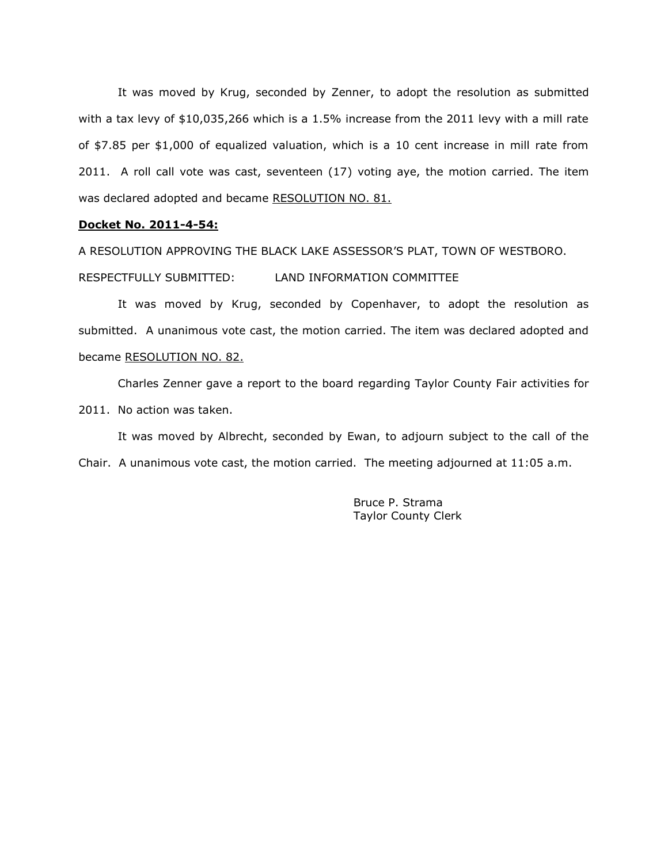It was moved by Krug, seconded by Zenner, to adopt the resolution as submitted with a tax levy of \$10,035,266 which is a 1.5% increase from the 2011 levy with a mill rate of \$7.85 per \$1,000 of equalized valuation, which is a 10 cent increase in mill rate from 2011. A roll call vote was cast, seventeen (17) voting aye, the motion carried. The item was declared adopted and became RESOLUTION NO. 81.

### **Docket No. 2011-4-54:**

A RESOLUTION APPROVING THE BLACK LAKE ASSESSOR'S PLAT, TOWN OF WESTBORO.

RESPECTFULLY SUBMITTED: LAND INFORMATION COMMITTEE

It was moved by Krug, seconded by Copenhaver, to adopt the resolution as submitted. A unanimous vote cast, the motion carried. The item was declared adopted and became RESOLUTION NO. 82.

Charles Zenner gave a report to the board regarding Taylor County Fair activities for 2011. No action was taken.

It was moved by Albrecht, seconded by Ewan, to adjourn subject to the call of the Chair. A unanimous vote cast, the motion carried. The meeting adjourned at 11:05 a.m.

> Bruce P. Strama Taylor County Clerk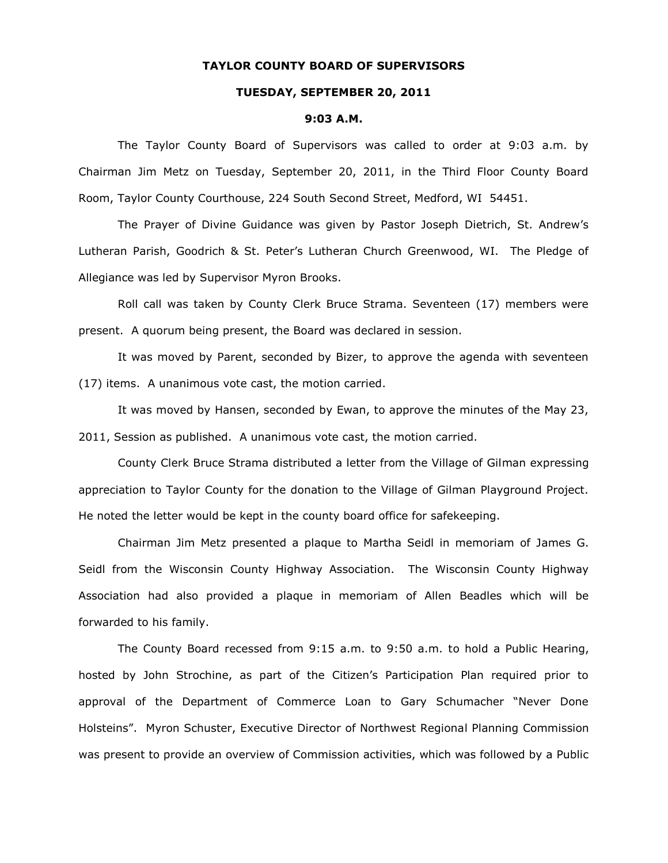### **TAYLOR COUNTY BOARD OF SUPERVISORS**

### **TUESDAY, SEPTEMBER 20, 2011**

#### **9:03 A.M.**

The Taylor County Board of Supervisors was called to order at 9:03 a.m. by Chairman Jim Metz on Tuesday, September 20, 2011, in the Third Floor County Board Room, Taylor County Courthouse, 224 South Second Street, Medford, WI 54451.

The Prayer of Divine Guidance was given by Pastor Joseph Dietrich, St. Andrew's Lutheran Parish, Goodrich & St. Peter's Lutheran Church Greenwood, WI. The Pledge of Allegiance was led by Supervisor Myron Brooks.

Roll call was taken by County Clerk Bruce Strama. Seventeen (17) members were present. A quorum being present, the Board was declared in session.

It was moved by Parent, seconded by Bizer, to approve the agenda with seventeen (17) items. A unanimous vote cast, the motion carried.

It was moved by Hansen, seconded by Ewan, to approve the minutes of the May 23, 2011, Session as published. A unanimous vote cast, the motion carried.

County Clerk Bruce Strama distributed a letter from the Village of Gilman expressing appreciation to Taylor County for the donation to the Village of Gilman Playground Project. He noted the letter would be kept in the county board office for safekeeping.

Chairman Jim Metz presented a plaque to Martha Seidl in memoriam of James G. Seidl from the Wisconsin County Highway Association. The Wisconsin County Highway Association had also provided a plaque in memoriam of Allen Beadles which will be forwarded to his family.

The County Board recessed from 9:15 a.m. to 9:50 a.m. to hold a Public Hearing, hosted by John Strochine, as part of the Citizen's Participation Plan required prior to approval of the Department of Commerce Loan to Gary Schumacher "Never Done Holsteins". Myron Schuster, Executive Director of Northwest Regional Planning Commission was present to provide an overview of Commission activities, which was followed by a Public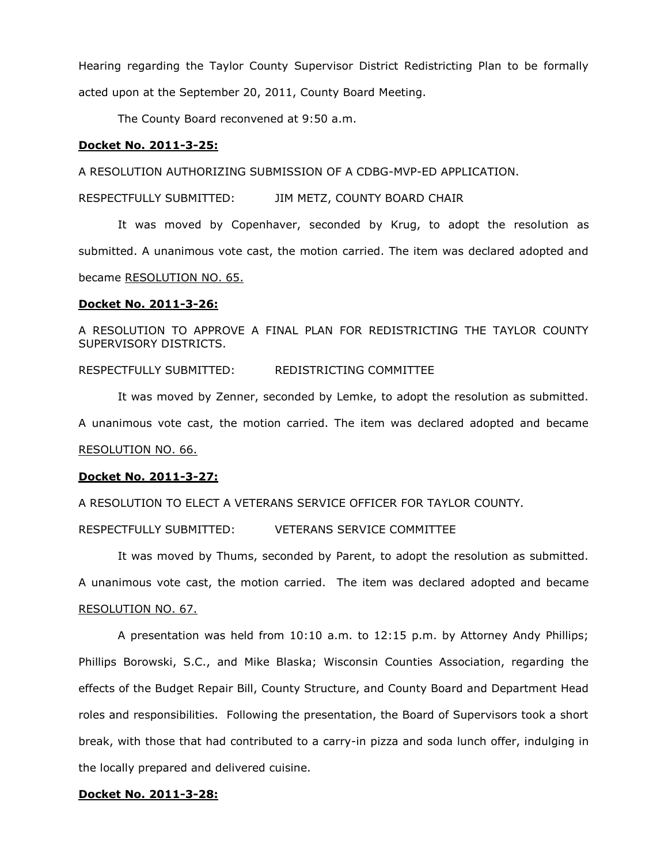Hearing regarding the Taylor County Supervisor District Redistricting Plan to be formally acted upon at the September 20, 2011, County Board Meeting.

The County Board reconvened at 9:50 a.m.

### **Docket No. 2011-3-25:**

A RESOLUTION AUTHORIZING SUBMISSION OF A CDBG-MVP-ED APPLICATION.

RESPECTFULLY SUBMITTED: JIM METZ, COUNTY BOARD CHAIR

It was moved by Copenhaver, seconded by Krug, to adopt the resolution as submitted. A unanimous vote cast, the motion carried. The item was declared adopted and became RESOLUTION NO. 65.

#### **Docket No. 2011-3-26:**

A RESOLUTION TO APPROVE A FINAL PLAN FOR REDISTRICTING THE TAYLOR COUNTY SUPERVISORY DISTRICTS.

RESPECTFULLY SUBMITTED: REDISTRICTING COMMITTEE

It was moved by Zenner, seconded by Lemke, to adopt the resolution as submitted. A unanimous vote cast, the motion carried. The item was declared adopted and became RESOLUTION NO. 66.

### **Docket No. 2011-3-27:**

A RESOLUTION TO ELECT A VETERANS SERVICE OFFICER FOR TAYLOR COUNTY.

RESPECTFULLY SUBMITTED: VETERANS SERVICE COMMITTEE

It was moved by Thums, seconded by Parent, to adopt the resolution as submitted. A unanimous vote cast, the motion carried. The item was declared adopted and became RESOLUTION NO. 67.

A presentation was held from 10:10 a.m. to 12:15 p.m. by Attorney Andy Phillips; Phillips Borowski, S.C., and Mike Blaska; Wisconsin Counties Association, regarding the effects of the Budget Repair Bill, County Structure, and County Board and Department Head roles and responsibilities. Following the presentation, the Board of Supervisors took a short break, with those that had contributed to a carry-in pizza and soda lunch offer, indulging in the locally prepared and delivered cuisine.

### **Docket No. 2011-3-28:**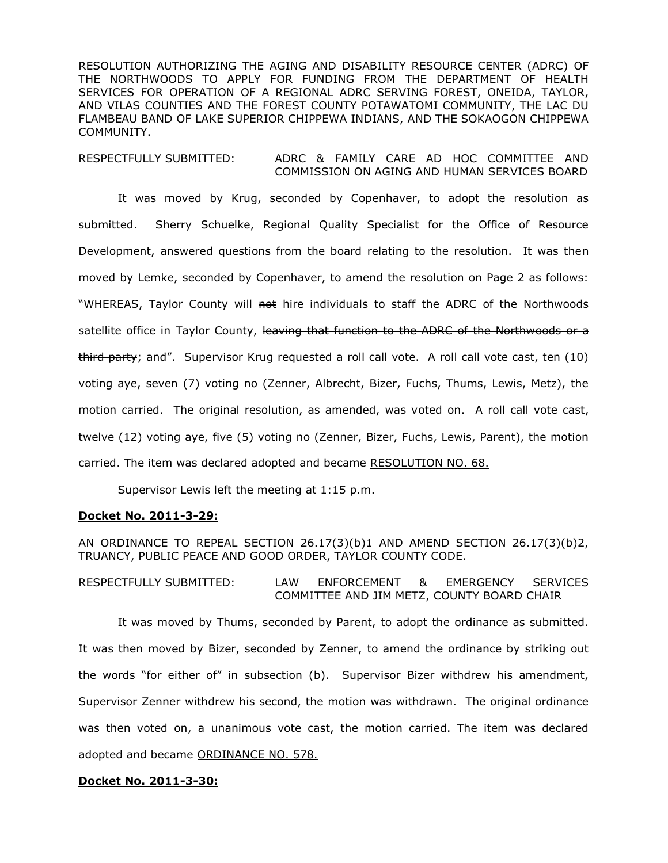RESOLUTION AUTHORIZING THE AGING AND DISABILITY RESOURCE CENTER (ADRC) OF THE NORTHWOODS TO APPLY FOR FUNDING FROM THE DEPARTMENT OF HEALTH SERVICES FOR OPERATION OF A REGIONAL ADRC SERVING FOREST, ONEIDA, TAYLOR, AND VILAS COUNTIES AND THE FOREST COUNTY POTAWATOMI COMMUNITY, THE LAC DU FLAMBEAU BAND OF LAKE SUPERIOR CHIPPEWA INDIANS, AND THE SOKAOGON CHIPPEWA COMMUNITY.

RESPECTFULLY SUBMITTED: ADRC & FAMILY CARE AD HOC COMMITTEE AND COMMISSION ON AGING AND HUMAN SERVICES BOARD

It was moved by Krug, seconded by Copenhaver, to adopt the resolution as submitted. Sherry Schuelke, Regional Quality Specialist for the Office of Resource Development, answered questions from the board relating to the resolution. It was then moved by Lemke, seconded by Copenhaver, to amend the resolution on Page 2 as follows: "WHEREAS, Taylor County will not hire individuals to staff the ADRC of the Northwoods satellite office in Taylor County, leaving that function to the ADRC of the Northwoods or a third party; and". Supervisor Krug requested a roll call vote. A roll call vote cast, ten (10) voting aye, seven (7) voting no (Zenner, Albrecht, Bizer, Fuchs, Thums, Lewis, Metz), the motion carried. The original resolution, as amended, was voted on. A roll call vote cast, twelve (12) voting aye, five (5) voting no (Zenner, Bizer, Fuchs, Lewis, Parent), the motion carried. The item was declared adopted and became RESOLUTION NO. 68.

Supervisor Lewis left the meeting at 1:15 p.m.

# **Docket No. 2011-3-29:**

AN ORDINANCE TO REPEAL SECTION 26.17(3)(b)1 AND AMEND SECTION 26.17(3)(b)2, TRUANCY, PUBLIC PEACE AND GOOD ORDER, TAYLOR COUNTY CODE.

RESPECTFULLY SUBMITTED: LAW ENFORCEMENT & EMERGENCY SERVICES COMMITTEE AND JIM METZ, COUNTY BOARD CHAIR

It was moved by Thums, seconded by Parent, to adopt the ordinance as submitted. It was then moved by Bizer, seconded by Zenner, to amend the ordinance by striking out the words "for either of" in subsection (b). Supervisor Bizer withdrew his amendment, Supervisor Zenner withdrew his second, the motion was withdrawn. The original ordinance was then voted on, a unanimous vote cast, the motion carried. The item was declared adopted and became ORDINANCE NO. 578.

### **Docket No. 2011-3-30:**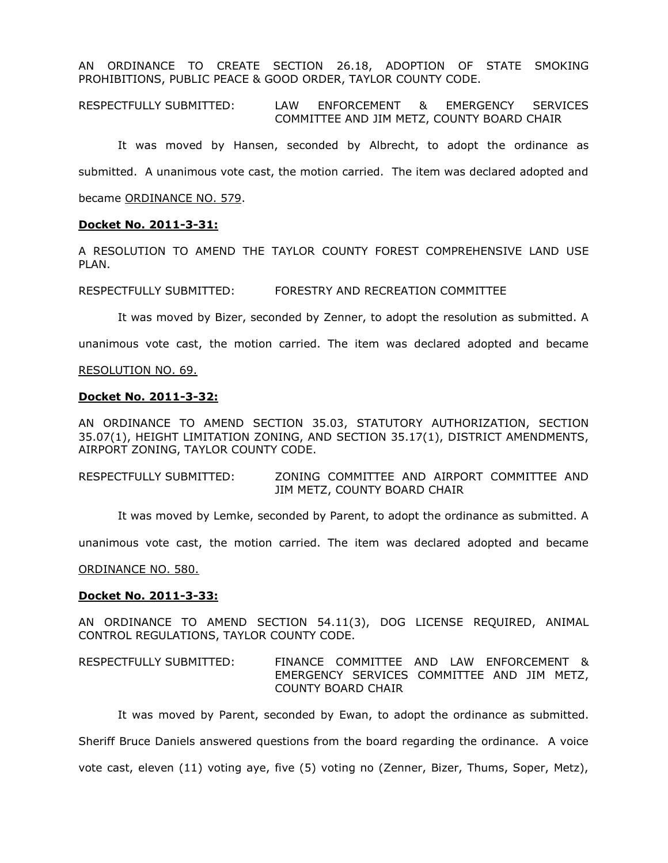AN ORDINANCE TO CREATE SECTION 26.18, ADOPTION OF STATE SMOKING PROHIBITIONS, PUBLIC PEACE & GOOD ORDER, TAYLOR COUNTY CODE.

RESPECTFULLY SUBMITTED: LAW ENFORCEMENT & EMERGENCY SERVICES COMMITTEE AND JIM METZ, COUNTY BOARD CHAIR

It was moved by Hansen, seconded by Albrecht, to adopt the ordinance as submitted. A unanimous vote cast, the motion carried. The item was declared adopted and

became ORDINANCE NO. 579.

## **Docket No. 2011-3-31:**

A RESOLUTION TO AMEND THE TAYLOR COUNTY FOREST COMPREHENSIVE LAND USE PLAN.

RESPECTFULLY SUBMITTED: FORESTRY AND RECREATION COMMITTEE

It was moved by Bizer, seconded by Zenner, to adopt the resolution as submitted. A

unanimous vote cast, the motion carried. The item was declared adopted and became

### RESOLUTION NO. 69.

### **Docket No. 2011-3-32:**

AN ORDINANCE TO AMEND SECTION 35.03, STATUTORY AUTHORIZATION, SECTION 35.07(1), HEIGHT LIMITATION ZONING, AND SECTION 35.17(1), DISTRICT AMENDMENTS, AIRPORT ZONING, TAYLOR COUNTY CODE.

RESPECTFULLY SUBMITTED: ZONING COMMITTEE AND AIRPORT COMMITTEE AND JIM METZ, COUNTY BOARD CHAIR

It was moved by Lemke, seconded by Parent, to adopt the ordinance as submitted. A

unanimous vote cast, the motion carried. The item was declared adopted and became

ORDINANCE NO. 580.

### **Docket No. 2011-3-33:**

AN ORDINANCE TO AMEND SECTION 54.11(3), DOG LICENSE REQUIRED, ANIMAL CONTROL REGULATIONS, TAYLOR COUNTY CODE.

RESPECTFULLY SUBMITTED: FINANCE COMMITTEE AND LAW ENFORCEMENT & EMERGENCY SERVICES COMMITTEE AND JIM METZ, COUNTY BOARD CHAIR

It was moved by Parent, seconded by Ewan, to adopt the ordinance as submitted. Sheriff Bruce Daniels answered questions from the board regarding the ordinance. A voice vote cast, eleven (11) voting aye, five (5) voting no (Zenner, Bizer, Thums, Soper, Metz),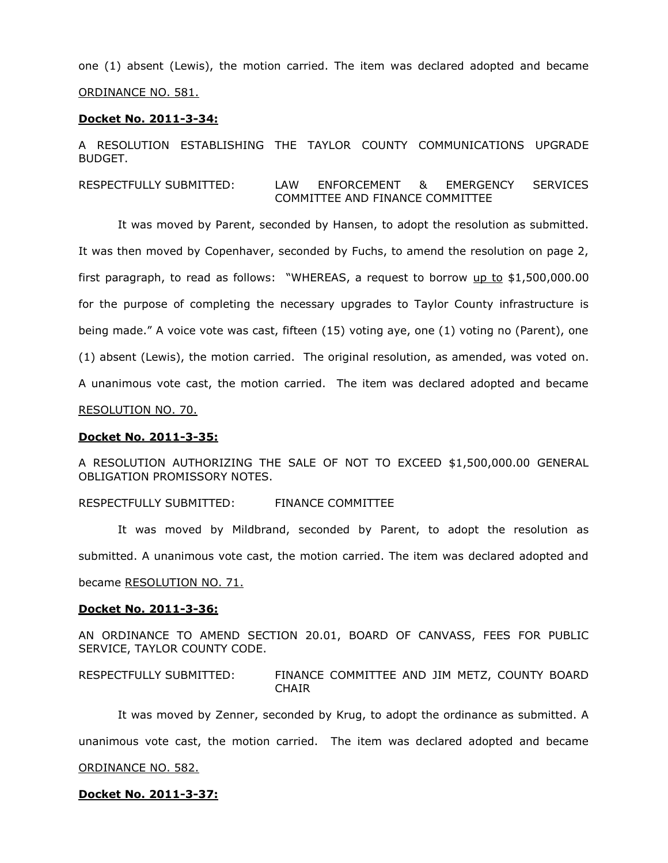one (1) absent (Lewis), the motion carried. The item was declared adopted and became ORDINANCE NO. 581.

#### **Docket No. 2011-3-34:**

A RESOLUTION ESTABLISHING THE TAYLOR COUNTY COMMUNICATIONS UPGRADE BUDGET.

RESPECTFULLY SUBMITTED: LAW ENFORCEMENT & EMERGENCY SERVICES COMMITTEE AND FINANCE COMMITTEE

It was moved by Parent, seconded by Hansen, to adopt the resolution as submitted. It was then moved by Copenhaver, seconded by Fuchs, to amend the resolution on page 2, first paragraph, to read as follows: "WHEREAS, a request to borrow  $up to $1,500,000.00$ </u> for the purpose of completing the necessary upgrades to Taylor County infrastructure is being made." A voice vote was cast, fifteen (15) voting aye, one (1) voting no (Parent), one (1) absent (Lewis), the motion carried. The original resolution, as amended, was voted on. A unanimous vote cast, the motion carried. The item was declared adopted and became RESOLUTION NO. 70.

#### **Docket No. 2011-3-35:**

A RESOLUTION AUTHORIZING THE SALE OF NOT TO EXCEED \$1,500,000.00 GENERAL OBLIGATION PROMISSORY NOTES.

RESPECTFULLY SUBMITTED: FINANCE COMMITTEE

It was moved by Mildbrand, seconded by Parent, to adopt the resolution as submitted. A unanimous vote cast, the motion carried. The item was declared adopted and became RESOLUTION NO. 71.

### **Docket No. 2011-3-36:**

AN ORDINANCE TO AMEND SECTION 20.01, BOARD OF CANVASS, FEES FOR PUBLIC SERVICE, TAYLOR COUNTY CODE.

RESPECTFULLY SUBMITTED: FINANCE COMMITTEE AND JIM METZ, COUNTY BOARD **CHAIR** 

It was moved by Zenner, seconded by Krug, to adopt the ordinance as submitted. A unanimous vote cast, the motion carried. The item was declared adopted and became ORDINANCE NO. 582.

### **Docket No. 2011-3-37:**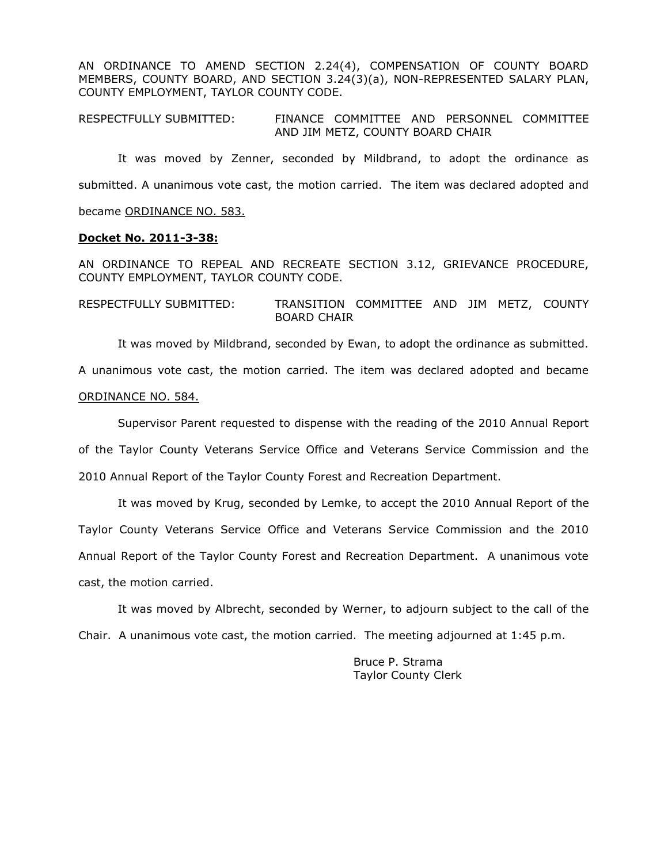AN ORDINANCE TO AMEND SECTION 2.24(4), COMPENSATION OF COUNTY BOARD MEMBERS, COUNTY BOARD, AND SECTION 3.24(3)(a), NON-REPRESENTED SALARY PLAN, COUNTY EMPLOYMENT, TAYLOR COUNTY CODE.

RESPECTFULLY SUBMITTED: FINANCE COMMITTEE AND PERSONNEL COMMITTEE AND JIM METZ, COUNTY BOARD CHAIR

It was moved by Zenner, seconded by Mildbrand, to adopt the ordinance as submitted. A unanimous vote cast, the motion carried. The item was declared adopted and became ORDINANCE NO. 583.

#### **Docket No. 2011-3-38:**

AN ORDINANCE TO REPEAL AND RECREATE SECTION 3.12, GRIEVANCE PROCEDURE, COUNTY EMPLOYMENT, TAYLOR COUNTY CODE.

RESPECTFULLY SUBMITTED: TRANSITION COMMITTEE AND JIM METZ, COUNTY BOARD CHAIR

It was moved by Mildbrand, seconded by Ewan, to adopt the ordinance as submitted.

A unanimous vote cast, the motion carried. The item was declared adopted and became

# ORDINANCE NO. 584.

Supervisor Parent requested to dispense with the reading of the 2010 Annual Report of the Taylor County Veterans Service Office and Veterans Service Commission and the 2010 Annual Report of the Taylor County Forest and Recreation Department.

It was moved by Krug, seconded by Lemke, to accept the 2010 Annual Report of the Taylor County Veterans Service Office and Veterans Service Commission and the 2010 Annual Report of the Taylor County Forest and Recreation Department. A unanimous vote cast, the motion carried.

It was moved by Albrecht, seconded by Werner, to adjourn subject to the call of the Chair. A unanimous vote cast, the motion carried. The meeting adjourned at 1:45 p.m.

> Bruce P. Strama Taylor County Clerk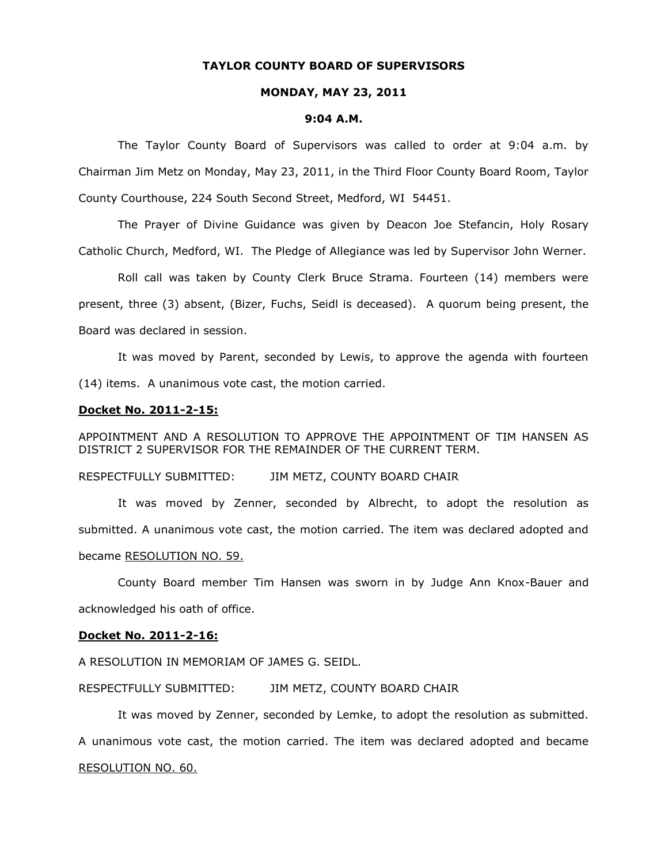### **TAYLOR COUNTY BOARD OF SUPERVISORS**

#### **MONDAY, MAY 23, 2011**

#### **9:04 A.M.**

The Taylor County Board of Supervisors was called to order at 9:04 a.m. by Chairman Jim Metz on Monday, May 23, 2011, in the Third Floor County Board Room, Taylor County Courthouse, 224 South Second Street, Medford, WI 54451.

The Prayer of Divine Guidance was given by Deacon Joe Stefancin, Holy Rosary Catholic Church, Medford, WI. The Pledge of Allegiance was led by Supervisor John Werner.

Roll call was taken by County Clerk Bruce Strama. Fourteen (14) members were present, three (3) absent, (Bizer, Fuchs, Seidl is deceased). A quorum being present, the Board was declared in session.

It was moved by Parent, seconded by Lewis, to approve the agenda with fourteen (14) items. A unanimous vote cast, the motion carried.

#### **Docket No. 2011-2-15:**

APPOINTMENT AND A RESOLUTION TO APPROVE THE APPOINTMENT OF TIM HANSEN AS DISTRICT 2 SUPERVISOR FOR THE REMAINDER OF THE CURRENT TERM.

### RESPECTFULLY SUBMITTED: JIM METZ, COUNTY BOARD CHAIR

It was moved by Zenner, seconded by Albrecht, to adopt the resolution as submitted. A unanimous vote cast, the motion carried. The item was declared adopted and became RESOLUTION NO. 59.

County Board member Tim Hansen was sworn in by Judge Ann Knox-Bauer and acknowledged his oath of office.

### **Docket No. 2011-2-16:**

A RESOLUTION IN MEMORIAM OF JAMES G. SEIDL.

### RESPECTFULLY SUBMITTED: JIM METZ, COUNTY BOARD CHAIR

It was moved by Zenner, seconded by Lemke, to adopt the resolution as submitted. A unanimous vote cast, the motion carried. The item was declared adopted and became RESOLUTION NO. 60.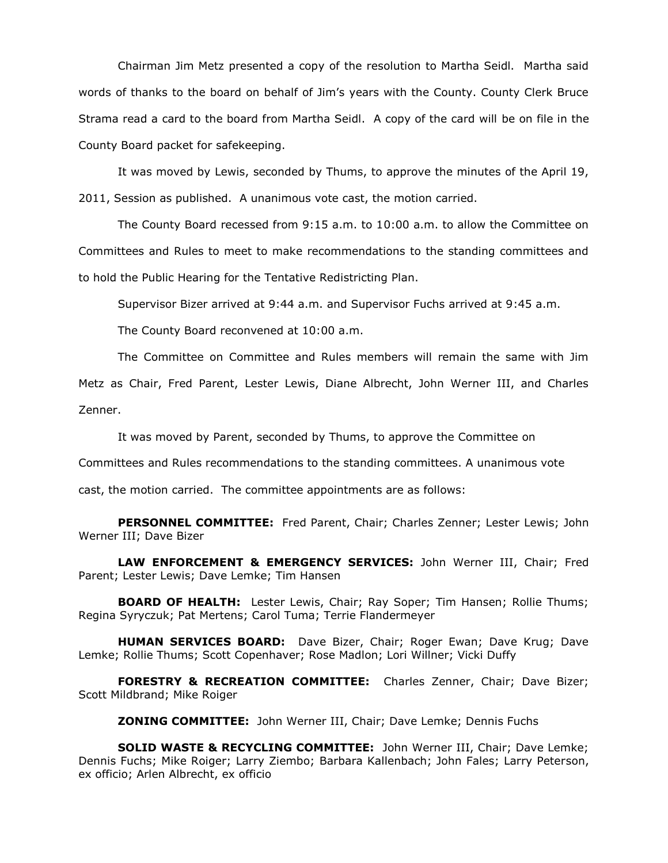Chairman Jim Metz presented a copy of the resolution to Martha Seidl. Martha said words of thanks to the board on behalf of Jim's years with the County. County Clerk Bruce Strama read a card to the board from Martha Seidl. A copy of the card will be on file in the County Board packet for safekeeping.

It was moved by Lewis, seconded by Thums, to approve the minutes of the April 19, 2011, Session as published. A unanimous vote cast, the motion carried.

The County Board recessed from 9:15 a.m. to 10:00 a.m. to allow the Committee on Committees and Rules to meet to make recommendations to the standing committees and to hold the Public Hearing for the Tentative Redistricting Plan.

Supervisor Bizer arrived at 9:44 a.m. and Supervisor Fuchs arrived at 9:45 a.m.

The County Board reconvened at 10:00 a.m.

The Committee on Committee and Rules members will remain the same with Jim Metz as Chair, Fred Parent, Lester Lewis, Diane Albrecht, John Werner III, and Charles Zenner.

It was moved by Parent, seconded by Thums, to approve the Committee on

Committees and Rules recommendations to the standing committees. A unanimous vote

cast, the motion carried. The committee appointments are as follows:

**PERSONNEL COMMITTEE:** Fred Parent, Chair; Charles Zenner; Lester Lewis; John Werner III; Dave Bizer

**LAW ENFORCEMENT & EMERGENCY SERVICES:** John Werner III, Chair; Fred Parent; Lester Lewis; Dave Lemke; Tim Hansen

**BOARD OF HEALTH:** Lester Lewis, Chair; Ray Soper; Tim Hansen; Rollie Thums; Regina Syryczuk; Pat Mertens; Carol Tuma; Terrie Flandermeyer

**HUMAN SERVICES BOARD:** Dave Bizer, Chair; Roger Ewan; Dave Krug; Dave Lemke; Rollie Thums; Scott Copenhaver; Rose Madlon; Lori Willner; Vicki Duffy

**FORESTRY & RECREATION COMMITTEE:** Charles Zenner, Chair; Dave Bizer; Scott Mildbrand; Mike Roiger

**ZONING COMMITTEE:** John Werner III, Chair; Dave Lemke; Dennis Fuchs

**SOLID WASTE & RECYCLING COMMITTEE:** John Werner III, Chair; Dave Lemke; Dennis Fuchs; Mike Roiger; Larry Ziembo; Barbara Kallenbach; John Fales; Larry Peterson, ex officio; Arlen Albrecht, ex officio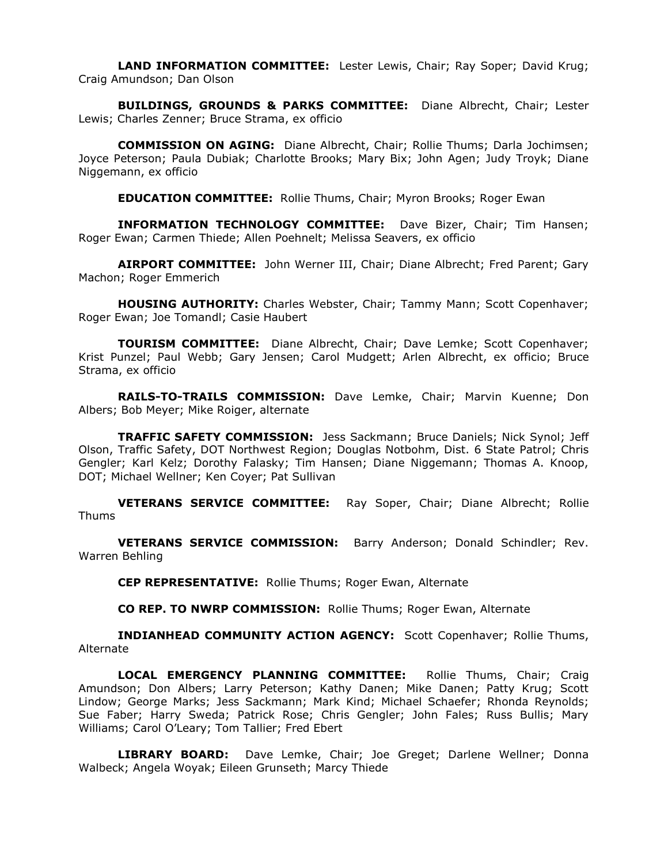**LAND INFORMATION COMMITTEE:** Lester Lewis, Chair; Ray Soper; David Krug; Craig Amundson; Dan Olson

**BUILDINGS, GROUNDS & PARKS COMMITTEE:** Diane Albrecht, Chair; Lester Lewis; Charles Zenner; Bruce Strama, ex officio

**COMMISSION ON AGING:** Diane Albrecht, Chair; Rollie Thums; Darla Jochimsen; Joyce Peterson; Paula Dubiak; Charlotte Brooks; Mary Bix; John Agen; Judy Troyk; Diane Niggemann, ex officio

**EDUCATION COMMITTEE:** Rollie Thums, Chair; Myron Brooks; Roger Ewan

**INFORMATION TECHNOLOGY COMMITTEE:** Dave Bizer, Chair; Tim Hansen; Roger Ewan; Carmen Thiede; Allen Poehnelt; Melissa Seavers, ex officio

**AIRPORT COMMITTEE:** John Werner III, Chair; Diane Albrecht; Fred Parent; Gary Machon; Roger Emmerich

**HOUSING AUTHORITY:** Charles Webster, Chair; Tammy Mann; Scott Copenhaver; Roger Ewan; Joe Tomandl; Casie Haubert

**TOURISM COMMITTEE:** Diane Albrecht, Chair; Dave Lemke; Scott Copenhaver; Krist Punzel; Paul Webb; Gary Jensen; Carol Mudgett; Arlen Albrecht, ex officio; Bruce Strama, ex officio

**RAILS-TO-TRAILS COMMISSION:** Dave Lemke, Chair; Marvin Kuenne; Don Albers; Bob Meyer; Mike Roiger, alternate

**TRAFFIC SAFETY COMMISSION:** Jess Sackmann; Bruce Daniels; Nick Synol; Jeff Olson, Traffic Safety, DOT Northwest Region; Douglas Notbohm, Dist. 6 State Patrol; Chris Gengler; Karl Kelz; Dorothy Falasky; Tim Hansen; Diane Niggemann; Thomas A. Knoop, DOT; Michael Wellner; Ken Coyer; Pat Sullivan

**VETERANS SERVICE COMMITTEE:** Ray Soper, Chair; Diane Albrecht; Rollie Thums

**VETERANS SERVICE COMMISSION:** Barry Anderson; Donald Schindler; Rev. Warren Behling

**CEP REPRESENTATIVE:** Rollie Thums; Roger Ewan, Alternate

**CO REP. TO NWRP COMMISSION:** Rollie Thums; Roger Ewan, Alternate

**INDIANHEAD COMMUNITY ACTION AGENCY:** Scott Copenhaver; Rollie Thums, Alternate

**LOCAL EMERGENCY PLANNING COMMITTEE:** Rollie Thums, Chair; Craig Amundson; Don Albers; Larry Peterson; Kathy Danen; Mike Danen; Patty Krug; Scott Lindow; George Marks; Jess Sackmann; Mark Kind; Michael Schaefer; Rhonda Reynolds; Sue Faber; Harry Sweda; Patrick Rose; Chris Gengler; John Fales; Russ Bullis; Mary Williams; Carol O'Leary; Tom Tallier; Fred Ebert

**LIBRARY BOARD:** Dave Lemke, Chair; Joe Greget; Darlene Wellner; Donna Walbeck; Angela Woyak; Eileen Grunseth; Marcy Thiede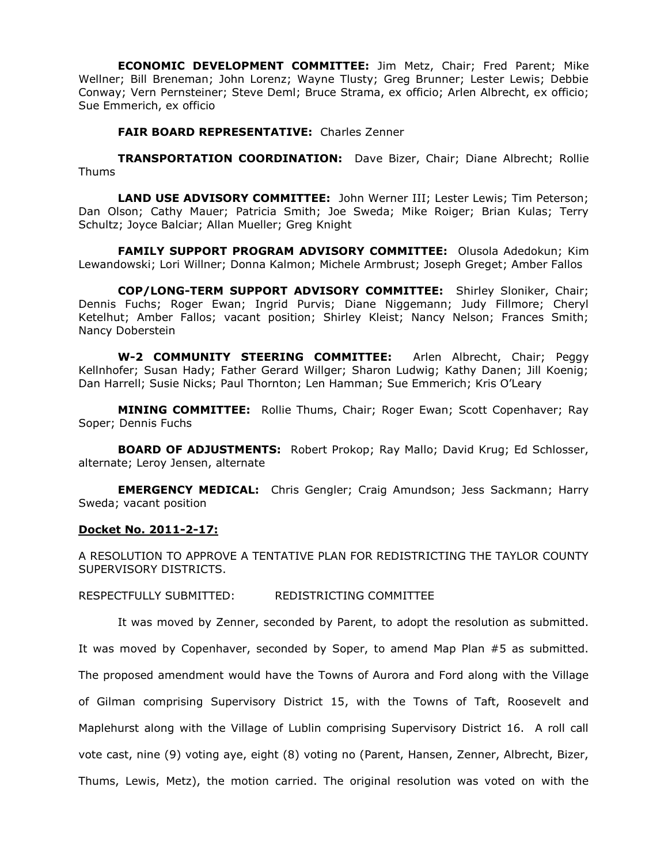**ECONOMIC DEVELOPMENT COMMITTEE:** Jim Metz, Chair; Fred Parent; Mike Wellner; Bill Breneman; John Lorenz; Wayne Tlusty; Greg Brunner; Lester Lewis; Debbie Conway; Vern Pernsteiner; Steve Deml; Bruce Strama, ex officio; Arlen Albrecht, ex officio; Sue Emmerich, ex officio

**FAIR BOARD REPRESENTATIVE:** Charles Zenner

**TRANSPORTATION COORDINATION:** Dave Bizer, Chair; Diane Albrecht; Rollie Thums

**LAND USE ADVISORY COMMITTEE:** John Werner III; Lester Lewis; Tim Peterson; Dan Olson; Cathy Mauer; Patricia Smith; Joe Sweda; Mike Roiger; Brian Kulas; Terry Schultz; Joyce Balciar; Allan Mueller; Greg Knight

**FAMILY SUPPORT PROGRAM ADVISORY COMMITTEE:** Olusola Adedokun; Kim Lewandowski; Lori Willner; Donna Kalmon; Michele Armbrust; Joseph Greget; Amber Fallos

**COP/LONG-TERM SUPPORT ADVISORY COMMITTEE:** Shirley Sloniker, Chair; Dennis Fuchs; Roger Ewan; Ingrid Purvis; Diane Niggemann; Judy Fillmore; Cheryl Ketelhut; Amber Fallos; vacant position; Shirley Kleist; Nancy Nelson; Frances Smith; Nancy Doberstein

**W-2 COMMUNITY STEERING COMMITTEE:** Arlen Albrecht, Chair; Peggy Kellnhofer; Susan Hady; Father Gerard Willger; Sharon Ludwig; Kathy Danen; Jill Koenig; Dan Harrell; Susie Nicks; Paul Thornton; Len Hamman; Sue Emmerich; Kris O'Leary

**MINING COMMITTEE:** Rollie Thums, Chair; Roger Ewan; Scott Copenhaver; Ray Soper; Dennis Fuchs

**BOARD OF ADJUSTMENTS:** Robert Prokop; Ray Mallo; David Krug; Ed Schlosser, alternate; Leroy Jensen, alternate

**EMERGENCY MEDICAL:** Chris Gengler; Craig Amundson; Jess Sackmann; Harry Sweda; vacant position

# **Docket No. 2011-2-17:**

A RESOLUTION TO APPROVE A TENTATIVE PLAN FOR REDISTRICTING THE TAYLOR COUNTY SUPERVISORY DISTRICTS.

RESPECTFULLY SUBMITTED: REDISTRICTING COMMITTEE

It was moved by Zenner, seconded by Parent, to adopt the resolution as submitted.

It was moved by Copenhaver, seconded by Soper, to amend Map Plan #5 as submitted. The proposed amendment would have the Towns of Aurora and Ford along with the Village of Gilman comprising Supervisory District 15, with the Towns of Taft, Roosevelt and Maplehurst along with the Village of Lublin comprising Supervisory District 16. A roll call vote cast, nine (9) voting aye, eight (8) voting no (Parent, Hansen, Zenner, Albrecht, Bizer, Thums, Lewis, Metz), the motion carried. The original resolution was voted on with the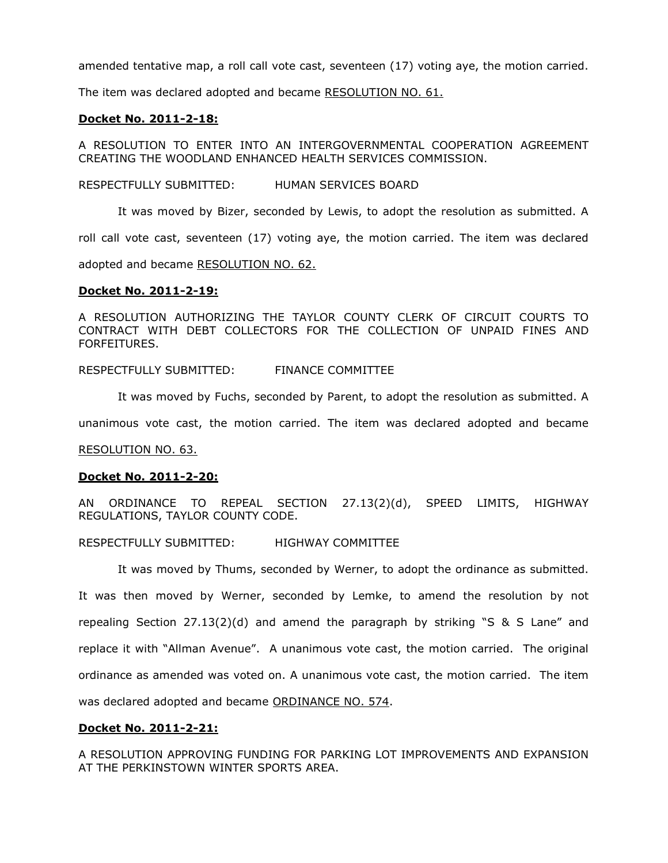amended tentative map, a roll call vote cast, seventeen (17) voting aye, the motion carried.

The item was declared adopted and became RESOLUTION NO. 61.

### **Docket No. 2011-2-18:**

A RESOLUTION TO ENTER INTO AN INTERGOVERNMENTAL COOPERATION AGREEMENT CREATING THE WOODLAND ENHANCED HEALTH SERVICES COMMISSION.

RESPECTFULLY SUBMITTED: HUMAN SERVICES BOARD

It was moved by Bizer, seconded by Lewis, to adopt the resolution as submitted. A roll call vote cast, seventeen (17) voting aye, the motion carried. The item was declared

adopted and became RESOLUTION NO. 62.

## **Docket No. 2011-2-19:**

A RESOLUTION AUTHORIZING THE TAYLOR COUNTY CLERK OF CIRCUIT COURTS TO CONTRACT WITH DEBT COLLECTORS FOR THE COLLECTION OF UNPAID FINES AND FORFEITURES.

RESPECTFULLY SUBMITTED: FINANCE COMMITTEE

It was moved by Fuchs, seconded by Parent, to adopt the resolution as submitted. A

unanimous vote cast, the motion carried. The item was declared adopted and became

RESOLUTION NO. 63.

### **Docket No. 2011-2-20:**

AN ORDINANCE TO REPEAL SECTION 27.13(2)(d), SPEED LIMITS, HIGHWAY REGULATIONS, TAYLOR COUNTY CODE.

RESPECTFULLY SUBMITTED: HIGHWAY COMMITTEE

It was moved by Thums, seconded by Werner, to adopt the ordinance as submitted. It was then moved by Werner, seconded by Lemke, to amend the resolution by not repealing Section 27.13(2)(d) and amend the paragraph by striking "S & S Lane" and replace it with "Allman Avenue". A unanimous vote cast, the motion carried. The original ordinance as amended was voted on. A unanimous vote cast, the motion carried. The item was declared adopted and became ORDINANCE NO. 574.

# **Docket No. 2011-2-21:**

A RESOLUTION APPROVING FUNDING FOR PARKING LOT IMPROVEMENTS AND EXPANSION AT THE PERKINSTOWN WINTER SPORTS AREA.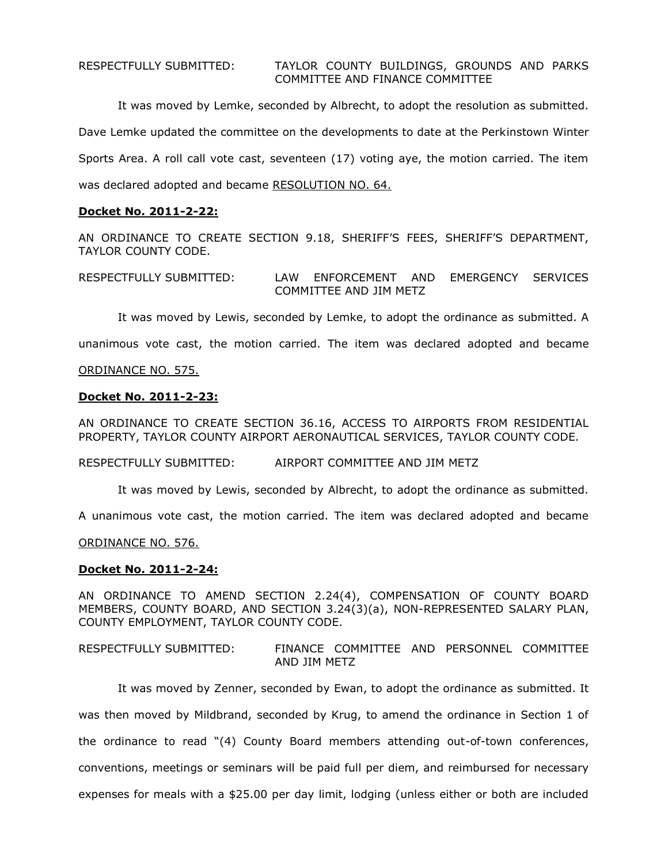It was moved by Lemke, seconded by Albrecht, to adopt the resolution as submitted. Dave Lemke updated the committee on the developments to date at the Perkinstown Winter Sports Area. A roll call vote cast, seventeen (17) voting aye, the motion carried. The item was declared adopted and became RESOLUTION NO. 64.

# **Docket No. 2011-2-22:**

AN ORDINANCE TO CREATE SECTION 9.18, SHERIFF'S FEES, SHERIFF'S DEPARTMENT, TAYLOR COUNTY CODE.

RESPECTFULLY SUBMITTED: LAW ENFORCEMENT AND EMERGENCY SERVICES COMMITTEE AND JIM METZ

It was moved by Lewis, seconded by Lemke, to adopt the ordinance as submitted. A

unanimous vote cast, the motion carried. The item was declared adopted and became

### ORDINANCE NO. 575.

### **Docket No. 2011-2-23:**

AN ORDINANCE TO CREATE SECTION 36.16, ACCESS TO AIRPORTS FROM RESIDENTIAL PROPERTY, TAYLOR COUNTY AIRPORT AERONAUTICAL SERVICES, TAYLOR COUNTY CODE.

RESPECTFULLY SUBMITTED: AIRPORT COMMITTEE AND JIM METZ

It was moved by Lewis, seconded by Albrecht, to adopt the ordinance as submitted.

A unanimous vote cast, the motion carried. The item was declared adopted and became

ORDINANCE NO. 576.

### **Docket No. 2011-2-24:**

AN ORDINANCE TO AMEND SECTION 2.24(4), COMPENSATION OF COUNTY BOARD MEMBERS, COUNTY BOARD, AND SECTION 3.24(3)(a), NON-REPRESENTED SALARY PLAN, COUNTY EMPLOYMENT, TAYLOR COUNTY CODE.

RESPECTFULLY SUBMITTED: FINANCE COMMITTEE AND PERSONNEL COMMITTEE AND JIM METZ

It was moved by Zenner, seconded by Ewan, to adopt the ordinance as submitted. It

was then moved by Mildbrand, seconded by Krug, to amend the ordinance in Section 1 of

the ordinance to read "(4) County Board members attending out-of-town conferences,

conventions, meetings or seminars will be paid full per diem, and reimbursed for necessary

expenses for meals with a \$25.00 per day limit, lodging (unless either or both are included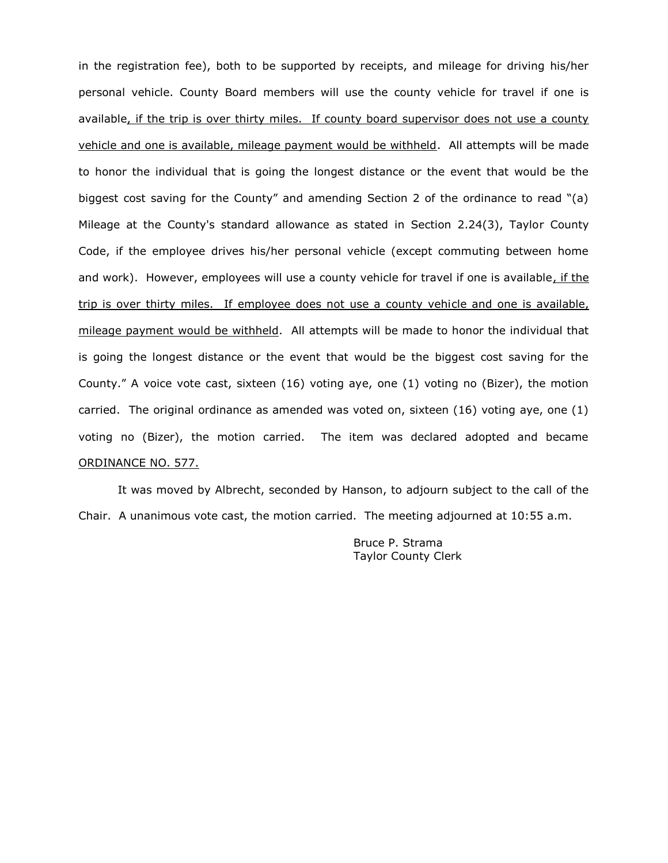in the registration fee), both to be supported by receipts, and mileage for driving his/her personal vehicle. County Board members will use the county vehicle for travel if one is available, if the trip is over thirty miles. If county board supervisor does not use a county vehicle and one is available, mileage payment would be withheld. All attempts will be made to honor the individual that is going the longest distance or the event that would be the biggest cost saving for the County" and amending Section 2 of the ordinance to read "(a) Mileage at the County's standard allowance as stated in Section 2.24(3), Taylor County Code, if the employee drives his/her personal vehicle (except commuting between home and work). However, employees will use a county vehicle for travel if one is available, if the trip is over thirty miles. If employee does not use a county vehicle and one is available, mileage payment would be withheld. All attempts will be made to honor the individual that is going the longest distance or the event that would be the biggest cost saving for the County." A voice vote cast, sixteen (16) voting aye, one (1) voting no (Bizer), the motion carried. The original ordinance as amended was voted on, sixteen (16) voting aye, one (1) voting no (Bizer), the motion carried. The item was declared adopted and became ORDINANCE NO. 577.

It was moved by Albrecht, seconded by Hanson, to adjourn subject to the call of the Chair. A unanimous vote cast, the motion carried. The meeting adjourned at 10:55 a.m.

> Bruce P. Strama Taylor County Clerk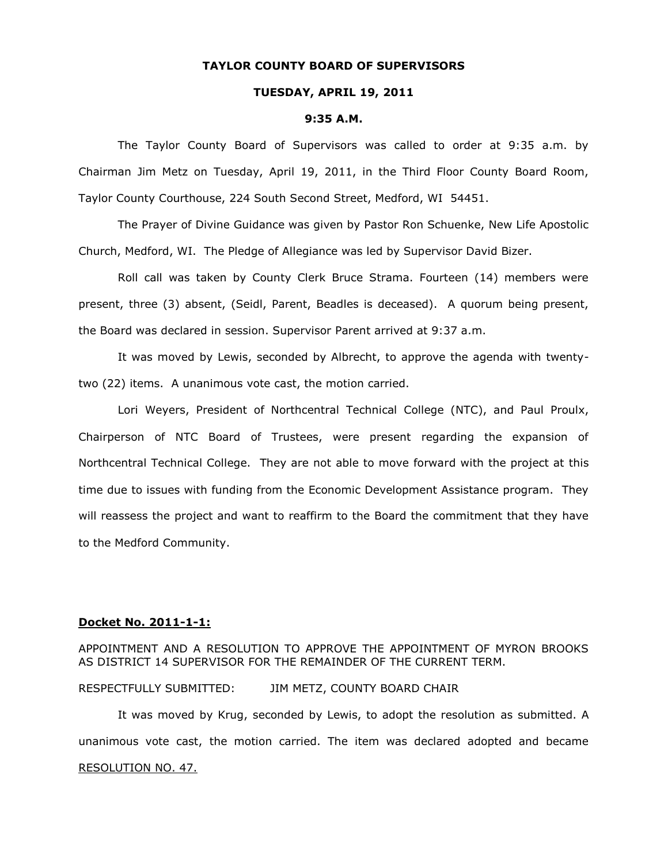### **TAYLOR COUNTY BOARD OF SUPERVISORS**

# **TUESDAY, APRIL 19, 2011**

#### **9:35 A.M.**

The Taylor County Board of Supervisors was called to order at 9:35 a.m. by Chairman Jim Metz on Tuesday, April 19, 2011, in the Third Floor County Board Room, Taylor County Courthouse, 224 South Second Street, Medford, WI 54451.

The Prayer of Divine Guidance was given by Pastor Ron Schuenke, New Life Apostolic Church, Medford, WI. The Pledge of Allegiance was led by Supervisor David Bizer.

Roll call was taken by County Clerk Bruce Strama. Fourteen (14) members were present, three (3) absent, (Seidl, Parent, Beadles is deceased). A quorum being present, the Board was declared in session. Supervisor Parent arrived at 9:37 a.m.

It was moved by Lewis, seconded by Albrecht, to approve the agenda with twentytwo (22) items. A unanimous vote cast, the motion carried.

Lori Weyers, President of Northcentral Technical College (NTC), and Paul Proulx, Chairperson of NTC Board of Trustees, were present regarding the expansion of Northcentral Technical College. They are not able to move forward with the project at this time due to issues with funding from the Economic Development Assistance program. They will reassess the project and want to reaffirm to the Board the commitment that they have to the Medford Community.

### **Docket No. 2011-1-1:**

APPOINTMENT AND A RESOLUTION TO APPROVE THE APPOINTMENT OF MYRON BROOKS AS DISTRICT 14 SUPERVISOR FOR THE REMAINDER OF THE CURRENT TERM.

RESPECTFULLY SUBMITTED: JIM METZ, COUNTY BOARD CHAIR

It was moved by Krug, seconded by Lewis, to adopt the resolution as submitted. A unanimous vote cast, the motion carried. The item was declared adopted and became RESOLUTION NO. 47.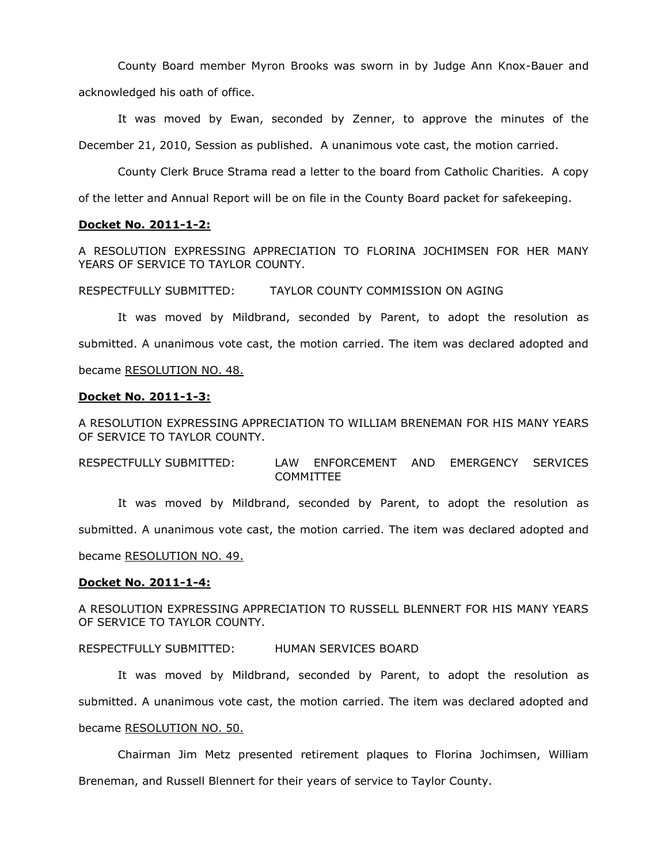County Board member Myron Brooks was sworn in by Judge Ann Knox-Bauer and acknowledged his oath of office.

It was moved by Ewan, seconded by Zenner, to approve the minutes of the December 21, 2010, Session as published. A unanimous vote cast, the motion carried.

County Clerk Bruce Strama read a letter to the board from Catholic Charities. A copy

of the letter and Annual Report will be on file in the County Board packet for safekeeping.

## **Docket No. 2011-1-2:**

A RESOLUTION EXPRESSING APPRECIATION TO FLORINA JOCHIMSEN FOR HER MANY YEARS OF SERVICE TO TAYLOR COUNTY.

RESPECTFULLY SUBMITTED: TAYLOR COUNTY COMMISSION ON AGING

It was moved by Mildbrand, seconded by Parent, to adopt the resolution as submitted. A unanimous vote cast, the motion carried. The item was declared adopted and became RESOLUTION NO. 48.

## **Docket No. 2011-1-3:**

A RESOLUTION EXPRESSING APPRECIATION TO WILLIAM BRENEMAN FOR HIS MANY YEARS OF SERVICE TO TAYLOR COUNTY.

RESPECTFULLY SUBMITTED: LAW ENFORCEMENT AND EMERGENCY SERVICES COMMITTEE

It was moved by Mildbrand, seconded by Parent, to adopt the resolution as submitted. A unanimous vote cast, the motion carried. The item was declared adopted and became RESOLUTION NO. 49.

### **Docket No. 2011-1-4:**

A RESOLUTION EXPRESSING APPRECIATION TO RUSSELL BLENNERT FOR HIS MANY YEARS OF SERVICE TO TAYLOR COUNTY.

RESPECTFULLY SUBMITTED: HUMAN SERVICES BOARD

It was moved by Mildbrand, seconded by Parent, to adopt the resolution as submitted. A unanimous vote cast, the motion carried. The item was declared adopted and

# became RESOLUTION NO. 50.

Chairman Jim Metz presented retirement plaques to Florina Jochimsen, William Breneman, and Russell Blennert for their years of service to Taylor County.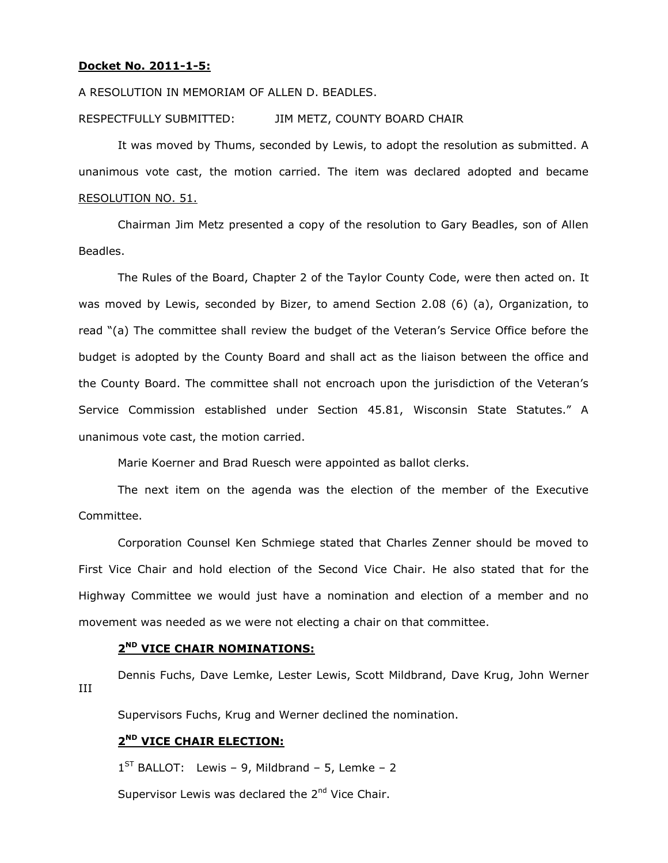### **Docket No. 2011-1-5:**

A RESOLUTION IN MEMORIAM OF ALLEN D. BEADLES.

#### RESPECTFULLY SUBMITTED: JIM METZ, COUNTY BOARD CHAIR

It was moved by Thums, seconded by Lewis, to adopt the resolution as submitted. A unanimous vote cast, the motion carried. The item was declared adopted and became RESOLUTION NO. 51.

Chairman Jim Metz presented a copy of the resolution to Gary Beadles, son of Allen Beadles.

The Rules of the Board, Chapter 2 of the Taylor County Code, were then acted on. It was moved by Lewis, seconded by Bizer, to amend Section 2.08 (6) (a), Organization, to read "(a) The committee shall review the budget of the Veteran's Service Office before the budget is adopted by the County Board and shall act as the liaison between the office and the County Board. The committee shall not encroach upon the jurisdiction of the Veteran's Service Commission established under Section 45.81, Wisconsin State Statutes." A unanimous vote cast, the motion carried.

Marie Koerner and Brad Ruesch were appointed as ballot clerks.

The next item on the agenda was the election of the member of the Executive Committee.

Corporation Counsel Ken Schmiege stated that Charles Zenner should be moved to First Vice Chair and hold election of the Second Vice Chair. He also stated that for the Highway Committee we would just have a nomination and election of a member and no movement was needed as we were not electing a chair on that committee.

## **2 ND VICE CHAIR NOMINATIONS:**

Dennis Fuchs, Dave Lemke, Lester Lewis, Scott Mildbrand, Dave Krug, John Werner III

Supervisors Fuchs, Krug and Werner declined the nomination.

# **2 ND VICE CHAIR ELECTION:**

 $1^{ST}$  BALLOT: Lewis - 9, Mildbrand - 5, Lemke - 2

Supervisor Lewis was declared the  $2^{nd}$  Vice Chair.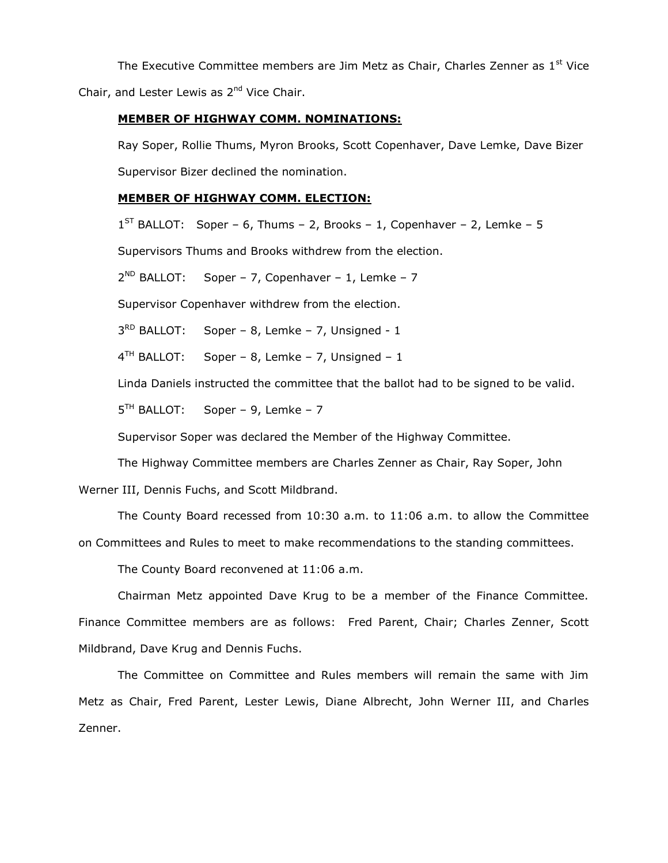The Executive Committee members are Jim Metz as Chair, Charles Zenner as  $1<sup>st</sup>$  Vice Chair, and Lester Lewis as 2<sup>nd</sup> Vice Chair.

### **MEMBER OF HIGHWAY COMM. NOMINATIONS:**

Ray Soper, Rollie Thums, Myron Brooks, Scott Copenhaver, Dave Lemke, Dave Bizer Supervisor Bizer declined the nomination.

# **MEMBER OF HIGHWAY COMM. ELECTION:**

 $1^{ST}$  BALLOT: Soper – 6, Thums – 2, Brooks – 1, Copenhaver – 2, Lemke – 5

Supervisors Thums and Brooks withdrew from the election.

2<sup>ND</sup> BALLOT: Soper – 7, Copenhaver – 1, Lemke – 7

Supervisor Copenhaver withdrew from the election.

3<sup>RD</sup> BALLOT: Soper – 8, Lemke – 7, Unsigned -  $1$ 

 $4^{TH}$  BALLOT: Soper - 8, Lemke - 7, Unsigned - 1

Linda Daniels instructed the committee that the ballot had to be signed to be valid.

 $5<sup>TH</sup>$  BALLOT: Soper – 9, Lemke – 7

Supervisor Soper was declared the Member of the Highway Committee.

The Highway Committee members are Charles Zenner as Chair, Ray Soper, John

Werner III, Dennis Fuchs, and Scott Mildbrand.

The County Board recessed from 10:30 a.m. to 11:06 a.m. to allow the Committee on Committees and Rules to meet to make recommendations to the standing committees.

The County Board reconvened at 11:06 a.m.

Chairman Metz appointed Dave Krug to be a member of the Finance Committee. Finance Committee members are as follows: Fred Parent, Chair; Charles Zenner, Scott Mildbrand, Dave Krug and Dennis Fuchs.

The Committee on Committee and Rules members will remain the same with Jim Metz as Chair, Fred Parent, Lester Lewis, Diane Albrecht, John Werner III, and Charles Zenner.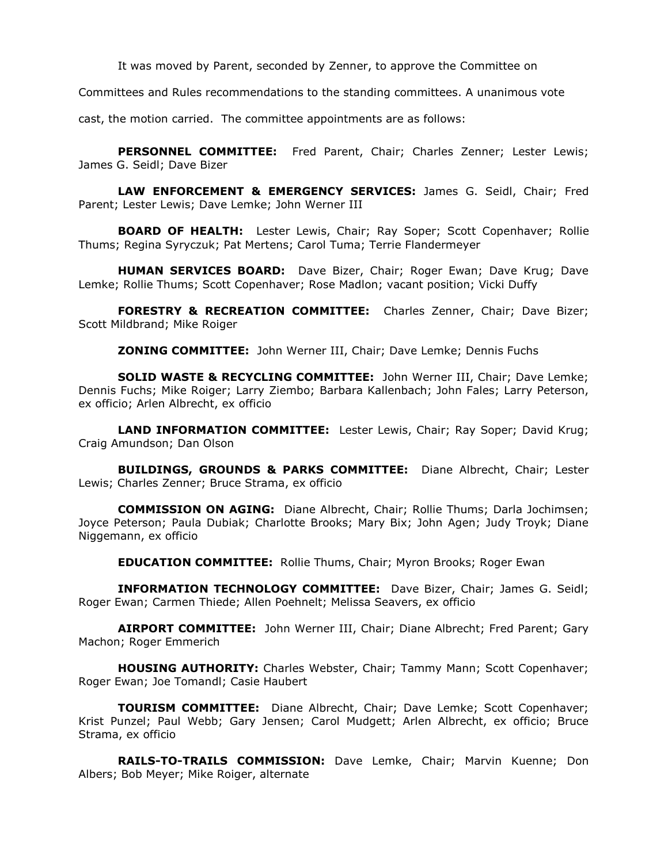It was moved by Parent, seconded by Zenner, to approve the Committee on

Committees and Rules recommendations to the standing committees. A unanimous vote

cast, the motion carried. The committee appointments are as follows:

**PERSONNEL COMMITTEE:** Fred Parent, Chair; Charles Zenner; Lester Lewis; James G. Seidl; Dave Bizer

**LAW ENFORCEMENT & EMERGENCY SERVICES:** James G. Seidl, Chair; Fred Parent; Lester Lewis; Dave Lemke; John Werner III

**BOARD OF HEALTH:** Lester Lewis, Chair; Ray Soper; Scott Copenhaver; Rollie Thums; Regina Syryczuk; Pat Mertens; Carol Tuma; Terrie Flandermeyer

**HUMAN SERVICES BOARD:** Dave Bizer, Chair; Roger Ewan; Dave Krug; Dave Lemke; Rollie Thums; Scott Copenhaver; Rose Madlon; vacant position; Vicki Duffy

**FORESTRY & RECREATION COMMITTEE:** Charles Zenner, Chair; Dave Bizer; Scott Mildbrand; Mike Roiger

**ZONING COMMITTEE:** John Werner III, Chair; Dave Lemke; Dennis Fuchs

**SOLID WASTE & RECYCLING COMMITTEE:** John Werner III, Chair; Dave Lemke; Dennis Fuchs; Mike Roiger; Larry Ziembo; Barbara Kallenbach; John Fales; Larry Peterson, ex officio; Arlen Albrecht, ex officio

**LAND INFORMATION COMMITTEE:** Lester Lewis, Chair; Ray Soper; David Krug; Craig Amundson; Dan Olson

**BUILDINGS, GROUNDS & PARKS COMMITTEE:** Diane Albrecht, Chair; Lester Lewis; Charles Zenner; Bruce Strama, ex officio

**COMMISSION ON AGING:** Diane Albrecht, Chair; Rollie Thums; Darla Jochimsen; Joyce Peterson; Paula Dubiak; Charlotte Brooks; Mary Bix; John Agen; Judy Troyk; Diane Niggemann, ex officio

**EDUCATION COMMITTEE:** Rollie Thums, Chair; Myron Brooks; Roger Ewan

**INFORMATION TECHNOLOGY COMMITTEE:** Dave Bizer, Chair; James G. Seidl; Roger Ewan; Carmen Thiede; Allen Poehnelt; Melissa Seavers, ex officio

**AIRPORT COMMITTEE:** John Werner III, Chair; Diane Albrecht; Fred Parent; Gary Machon; Roger Emmerich

**HOUSING AUTHORITY:** Charles Webster, Chair; Tammy Mann; Scott Copenhaver; Roger Ewan; Joe Tomandl; Casie Haubert

**TOURISM COMMITTEE:** Diane Albrecht, Chair; Dave Lemke; Scott Copenhaver; Krist Punzel; Paul Webb; Gary Jensen; Carol Mudgett; Arlen Albrecht, ex officio; Bruce Strama, ex officio

**RAILS-TO-TRAILS COMMISSION:** Dave Lemke, Chair; Marvin Kuenne; Don Albers; Bob Meyer; Mike Roiger, alternate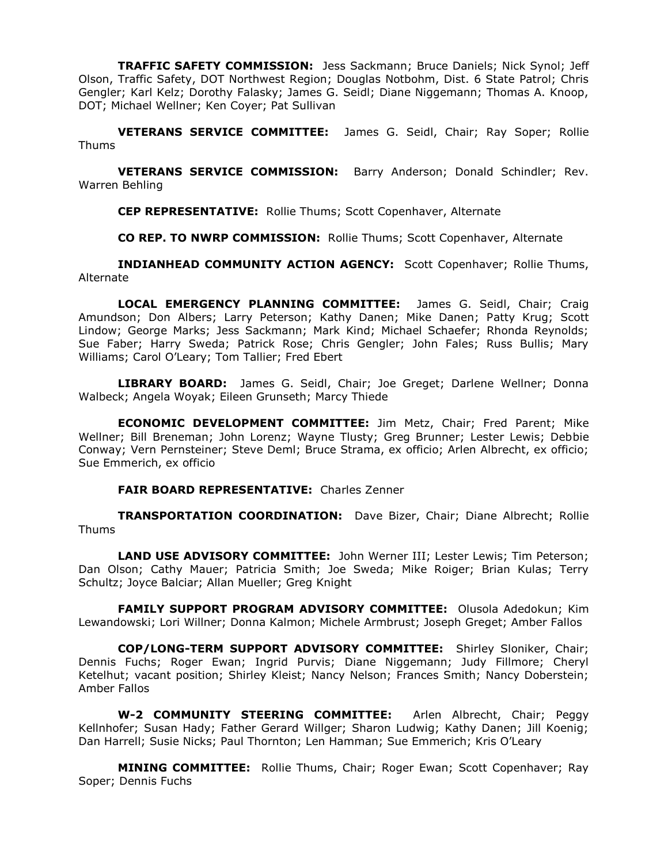**TRAFFIC SAFETY COMMISSION:** Jess Sackmann; Bruce Daniels; Nick Synol; Jeff Olson, Traffic Safety, DOT Northwest Region; Douglas Notbohm, Dist. 6 State Patrol; Chris Gengler; Karl Kelz; Dorothy Falasky; James G. Seidl; Diane Niggemann; Thomas A. Knoop, DOT; Michael Wellner; Ken Coyer; Pat Sullivan

**VETERANS SERVICE COMMITTEE:** James G. Seidl, Chair; Ray Soper; Rollie Thums

**VETERANS SERVICE COMMISSION:** Barry Anderson; Donald Schindler; Rev. Warren Behling

**CEP REPRESENTATIVE:** Rollie Thums; Scott Copenhaver, Alternate

**CO REP. TO NWRP COMMISSION:** Rollie Thums; Scott Copenhaver, Alternate

**INDIANHEAD COMMUNITY ACTION AGENCY:** Scott Copenhaver; Rollie Thums, Alternate

**LOCAL EMERGENCY PLANNING COMMITTEE:** James G. Seidl, Chair; Craig Amundson; Don Albers; Larry Peterson; Kathy Danen; Mike Danen; Patty Krug; Scott Lindow; George Marks; Jess Sackmann; Mark Kind; Michael Schaefer; Rhonda Reynolds; Sue Faber; Harry Sweda; Patrick Rose; Chris Gengler; John Fales; Russ Bullis; Mary Williams; Carol O'Leary; Tom Tallier; Fred Ebert

**LIBRARY BOARD:** James G. Seidl, Chair; Joe Greget; Darlene Wellner; Donna Walbeck; Angela Woyak; Eileen Grunseth; Marcy Thiede

**ECONOMIC DEVELOPMENT COMMITTEE:** Jim Metz, Chair; Fred Parent; Mike Wellner; Bill Breneman; John Lorenz; Wayne Tlusty; Greg Brunner; Lester Lewis; Debbie Conway; Vern Pernsteiner; Steve Deml; Bruce Strama, ex officio; Arlen Albrecht, ex officio; Sue Emmerich, ex officio

**FAIR BOARD REPRESENTATIVE:** Charles Zenner

**TRANSPORTATION COORDINATION:** Dave Bizer, Chair; Diane Albrecht; Rollie Thums

**LAND USE ADVISORY COMMITTEE:** John Werner III; Lester Lewis; Tim Peterson; Dan Olson; Cathy Mauer; Patricia Smith; Joe Sweda; Mike Roiger; Brian Kulas; Terry Schultz; Joyce Balciar; Allan Mueller; Greg Knight

**FAMILY SUPPORT PROGRAM ADVISORY COMMITTEE:** Olusola Adedokun; Kim Lewandowski; Lori Willner; Donna Kalmon; Michele Armbrust; Joseph Greget; Amber Fallos

**COP/LONG-TERM SUPPORT ADVISORY COMMITTEE:** Shirley Sloniker, Chair; Dennis Fuchs; Roger Ewan; Ingrid Purvis; Diane Niggemann; Judy Fillmore; Cheryl Ketelhut; vacant position; Shirley Kleist; Nancy Nelson; Frances Smith; Nancy Doberstein; Amber Fallos

**W-2 COMMUNITY STEERING COMMITTEE:** Arlen Albrecht, Chair; Peggy Kellnhofer; Susan Hady; Father Gerard Willger; Sharon Ludwig; Kathy Danen; Jill Koenig; Dan Harrell; Susie Nicks; Paul Thornton; Len Hamman; Sue Emmerich; Kris O'Leary

**MINING COMMITTEE:** Rollie Thums, Chair; Roger Ewan; Scott Copenhaver; Ray Soper; Dennis Fuchs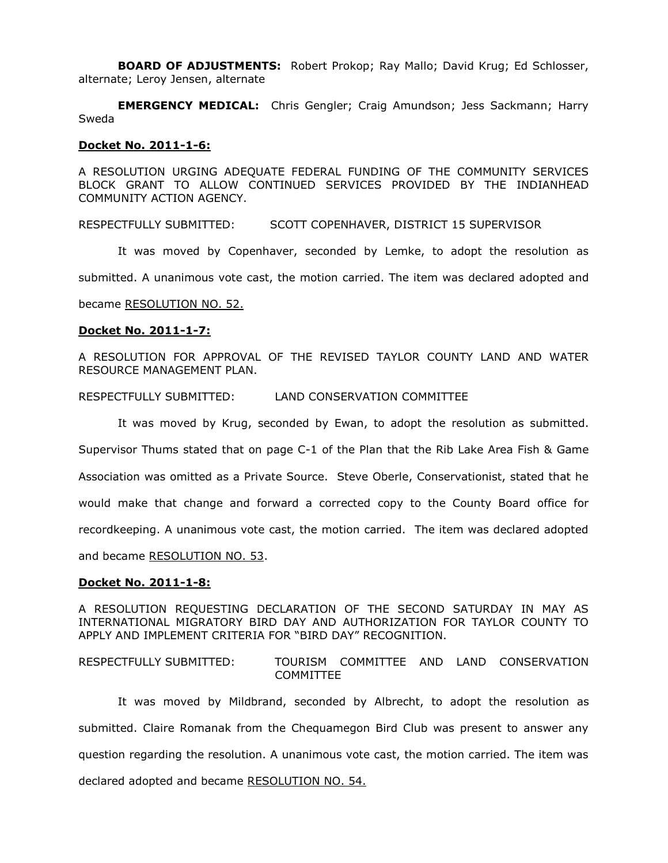**BOARD OF ADJUSTMENTS:** Robert Prokop; Ray Mallo; David Krug; Ed Schlosser, alternate; Leroy Jensen, alternate

**EMERGENCY MEDICAL:** Chris Gengler; Craig Amundson; Jess Sackmann; Harry Sweda

### **Docket No. 2011-1-6:**

A RESOLUTION URGING ADEQUATE FEDERAL FUNDING OF THE COMMUNITY SERVICES BLOCK GRANT TO ALLOW CONTINUED SERVICES PROVIDED BY THE INDIANHEAD COMMUNITY ACTION AGENCY.

RESPECTFULLY SUBMITTED: SCOTT COPENHAVER, DISTRICT 15 SUPERVISOR

It was moved by Copenhaver, seconded by Lemke, to adopt the resolution as

submitted. A unanimous vote cast, the motion carried. The item was declared adopted and

became RESOLUTION NO. 52.

#### **Docket No. 2011-1-7:**

A RESOLUTION FOR APPROVAL OF THE REVISED TAYLOR COUNTY LAND AND WATER RESOURCE MANAGEMENT PLAN.

#### RESPECTFULLY SUBMITTED: LAND CONSERVATION COMMITTEE

It was moved by Krug, seconded by Ewan, to adopt the resolution as submitted. Supervisor Thums stated that on page C-1 of the Plan that the Rib Lake Area Fish & Game Association was omitted as a Private Source. Steve Oberle, Conservationist, stated that he would make that change and forward a corrected copy to the County Board office for recordkeeping. A unanimous vote cast, the motion carried. The item was declared adopted and became RESOLUTION NO. 53.

#### **Docket No. 2011-1-8:**

A RESOLUTION REQUESTING DECLARATION OF THE SECOND SATURDAY IN MAY AS INTERNATIONAL MIGRATORY BIRD DAY AND AUTHORIZATION FOR TAYLOR COUNTY TO APPLY AND IMPLEMENT CRITERIA FOR "BIRD DAY" RECOGNITION.

RESPECTFULLY SUBMITTED: TOURISM COMMITTEE AND LAND CONSERVATION COMMITTEE

It was moved by Mildbrand, seconded by Albrecht, to adopt the resolution as submitted. Claire Romanak from the Chequamegon Bird Club was present to answer any question regarding the resolution. A unanimous vote cast, the motion carried. The item was declared adopted and became RESOLUTION NO. 54.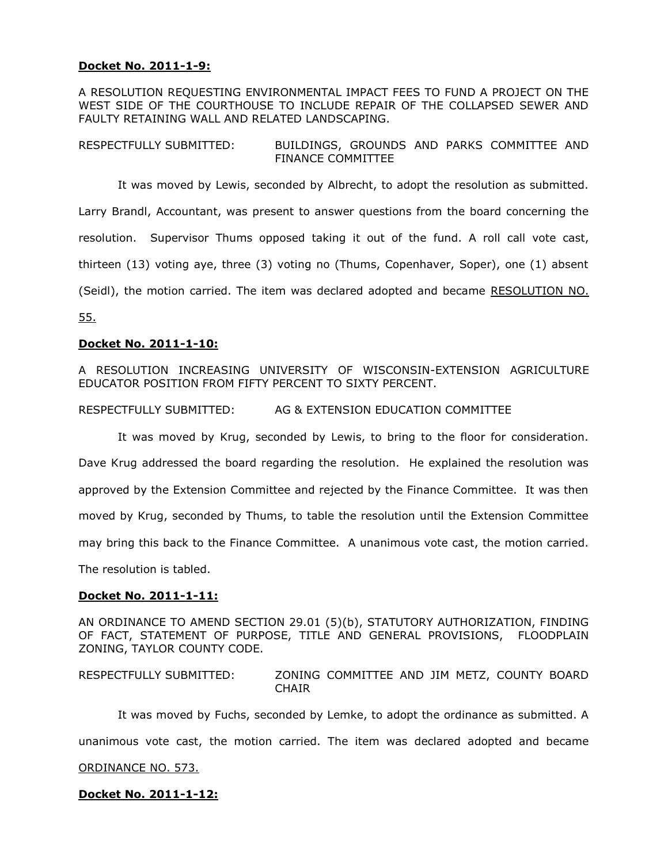# **Docket No. 2011-1-9:**

A RESOLUTION REQUESTING ENVIRONMENTAL IMPACT FEES TO FUND A PROJECT ON THE WEST SIDE OF THE COURTHOUSE TO INCLUDE REPAIR OF THE COLLAPSED SEWER AND FAULTY RETAINING WALL AND RELATED LANDSCAPING.

RESPECTFULLY SUBMITTED: BUILDINGS, GROUNDS AND PARKS COMMITTEE AND FINANCE COMMITTEE

It was moved by Lewis, seconded by Albrecht, to adopt the resolution as submitted. Larry Brandl, Accountant, was present to answer questions from the board concerning the resolution. Supervisor Thums opposed taking it out of the fund. A roll call vote cast, thirteen (13) voting aye, three (3) voting no (Thums, Copenhaver, Soper), one (1) absent (Seidl), the motion carried. The item was declared adopted and became RESOLUTION NO. 55.

# **Docket No. 2011-1-10:**

A RESOLUTION INCREASING UNIVERSITY OF WISCONSIN-EXTENSION AGRICULTURE EDUCATOR POSITION FROM FIFTY PERCENT TO SIXTY PERCENT.

RESPECTFULLY SUBMITTED: AG & EXTENSION EDUCATION COMMITTEE

It was moved by Krug, seconded by Lewis, to bring to the floor for consideration. Dave Krug addressed the board regarding the resolution. He explained the resolution was approved by the Extension Committee and rejected by the Finance Committee. It was then moved by Krug, seconded by Thums, to table the resolution until the Extension Committee may bring this back to the Finance Committee. A unanimous vote cast, the motion carried. The resolution is tabled.

### **Docket No. 2011-1-11:**

AN ORDINANCE TO AMEND SECTION 29.01 (5)(b), STATUTORY AUTHORIZATION, FINDING OF FACT, STATEMENT OF PURPOSE, TITLE AND GENERAL PROVISIONS, FLOODPLAIN ZONING, TAYLOR COUNTY CODE.

RESPECTFULLY SUBMITTED: ZONING COMMITTEE AND JIM METZ, COUNTY BOARD **CHAIR** 

It was moved by Fuchs, seconded by Lemke, to adopt the ordinance as submitted. A unanimous vote cast, the motion carried. The item was declared adopted and became ORDINANCE NO. 573.

**Docket No. 2011-1-12:**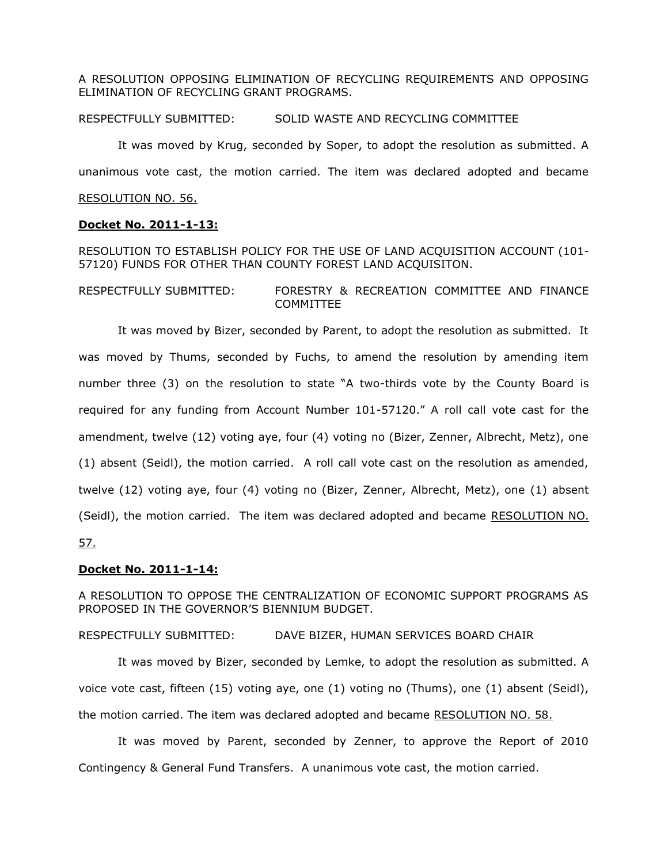A RESOLUTION OPPOSING ELIMINATION OF RECYCLING REQUIREMENTS AND OPPOSING ELIMINATION OF RECYCLING GRANT PROGRAMS.

RESPECTFULLY SUBMITTED: SOLID WASTE AND RECYCLING COMMITTEE

It was moved by Krug, seconded by Soper, to adopt the resolution as submitted. A unanimous vote cast, the motion carried. The item was declared adopted and became RESOLUTION NO. 56.

## **Docket No. 2011-1-13:**

RESOLUTION TO ESTABLISH POLICY FOR THE USE OF LAND ACQUISITION ACCOUNT (101- 57120) FUNDS FOR OTHER THAN COUNTY FOREST LAND ACQUISITON.

RESPECTFULLY SUBMITTED: FORESTRY & RECREATION COMMITTEE AND FINANCE COMMITTEE

It was moved by Bizer, seconded by Parent, to adopt the resolution as submitted. It was moved by Thums, seconded by Fuchs, to amend the resolution by amending item number three (3) on the resolution to state "A two-thirds vote by the County Board is required for any funding from Account Number 101-57120." A roll call vote cast for the amendment, twelve (12) voting aye, four (4) voting no (Bizer, Zenner, Albrecht, Metz), one (1) absent (Seidl), the motion carried. A roll call vote cast on the resolution as amended, twelve (12) voting aye, four (4) voting no (Bizer, Zenner, Albrecht, Metz), one (1) absent (Seidl), the motion carried. The item was declared adopted and became RESOLUTION NO. 57.

# **Docket No. 2011-1-14:**

A RESOLUTION TO OPPOSE THE CENTRALIZATION OF ECONOMIC SUPPORT PROGRAMS AS PROPOSED IN THE GOVERNOR'S BIENNIUM BUDGET.

RESPECTFULLY SUBMITTED: DAVE BIZER, HUMAN SERVICES BOARD CHAIR

It was moved by Bizer, seconded by Lemke, to adopt the resolution as submitted. A voice vote cast, fifteen (15) voting aye, one (1) voting no (Thums), one (1) absent (Seidl), the motion carried. The item was declared adopted and became RESOLUTION NO. 58.

It was moved by Parent, seconded by Zenner, to approve the Report of 2010 Contingency & General Fund Transfers. A unanimous vote cast, the motion carried.